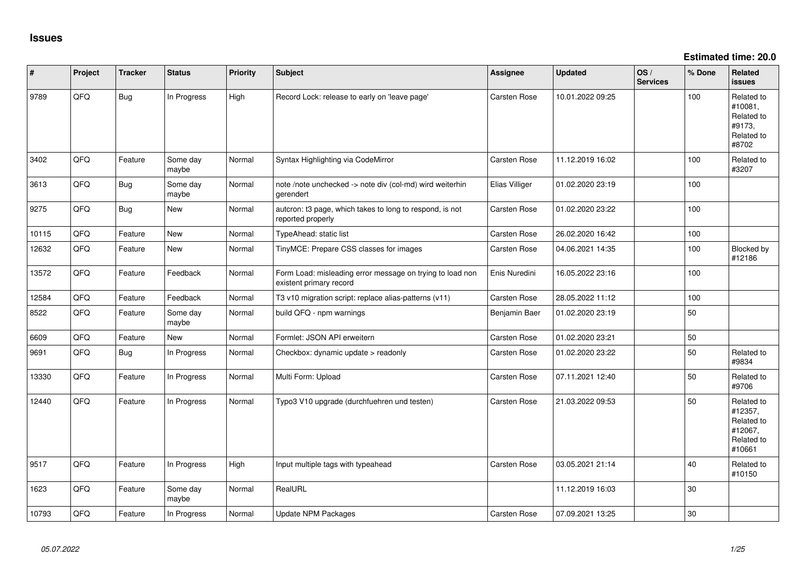**Estimated time: 20.0**

| #     | Project | <b>Tracker</b> | <b>Status</b>     | <b>Priority</b> | Subject                                                                              | <b>Assignee</b>     | <b>Updated</b>   | OS/<br><b>Services</b> | % Done | Related<br><b>issues</b>                                               |
|-------|---------|----------------|-------------------|-----------------|--------------------------------------------------------------------------------------|---------------------|------------------|------------------------|--------|------------------------------------------------------------------------|
| 9789  | QFQ     | <b>Bug</b>     | In Progress       | High            | Record Lock: release to early on 'leave page'                                        | Carsten Rose        | 10.01.2022 09:25 |                        | 100    | Related to<br>#10081,<br>Related to<br>#9173,<br>Related to<br>#8702   |
| 3402  | QFQ     | Feature        | Some day<br>maybe | Normal          | Syntax Highlighting via CodeMirror                                                   | Carsten Rose        | 11.12.2019 16:02 |                        | 100    | Related to<br>#3207                                                    |
| 3613  | QFQ     | <b>Bug</b>     | Some day<br>maybe | Normal          | note /note unchecked -> note div (col-md) wird weiterhin<br>gerendert                | Elias Villiger      | 01.02.2020 23:19 |                        | 100    |                                                                        |
| 9275  | QFQ     | <b>Bug</b>     | <b>New</b>        | Normal          | autcron: t3 page, which takes to long to respond, is not<br>reported properly        | Carsten Rose        | 01.02.2020 23:22 |                        | 100    |                                                                        |
| 10115 | QFQ     | Feature        | <b>New</b>        | Normal          | TypeAhead: static list                                                               | Carsten Rose        | 26.02.2020 16:42 |                        | 100    |                                                                        |
| 12632 | QFQ     | Feature        | New               | Normal          | TinyMCE: Prepare CSS classes for images                                              | Carsten Rose        | 04.06.2021 14:35 |                        | 100    | Blocked by<br>#12186                                                   |
| 13572 | QFQ     | Feature        | Feedback          | Normal          | Form Load: misleading error message on trying to load non<br>existent primary record | Enis Nuredini       | 16.05.2022 23:16 |                        | 100    |                                                                        |
| 12584 | QFQ     | Feature        | Feedback          | Normal          | T3 v10 migration script: replace alias-patterns (v11)                                | Carsten Rose        | 28.05.2022 11:12 |                        | 100    |                                                                        |
| 8522  | QFQ     | Feature        | Some day<br>maybe | Normal          | build QFQ - npm warnings                                                             | Benjamin Baer       | 01.02.2020 23:19 |                        | 50     |                                                                        |
| 6609  | QFQ     | Feature        | New               | Normal          | Formlet: JSON API erweitern                                                          | Carsten Rose        | 01.02.2020 23:21 |                        | 50     |                                                                        |
| 9691  | QFQ     | <b>Bug</b>     | In Progress       | Normal          | Checkbox: dynamic update > readonly                                                  | <b>Carsten Rose</b> | 01.02.2020 23:22 |                        | 50     | Related to<br>#9834                                                    |
| 13330 | QFQ     | Feature        | In Progress       | Normal          | Multi Form: Upload                                                                   | Carsten Rose        | 07.11.2021 12:40 |                        | 50     | Related to<br>#9706                                                    |
| 12440 | QFQ     | Feature        | In Progress       | Normal          | Typo3 V10 upgrade (durchfuehren und testen)                                          | Carsten Rose        | 21.03.2022 09:53 |                        | 50     | Related to<br>#12357,<br>Related to<br>#12067,<br>Related to<br>#10661 |
| 9517  | QFQ     | Feature        | In Progress       | High            | Input multiple tags with typeahead                                                   | <b>Carsten Rose</b> | 03.05.2021 21:14 |                        | 40     | Related to<br>#10150                                                   |
| 1623  | QFQ     | Feature        | Some day<br>maybe | Normal          | RealURL                                                                              |                     | 11.12.2019 16:03 |                        | 30     |                                                                        |
| 10793 | QFQ     | Feature        | In Progress       | Normal          | Update NPM Packages                                                                  | <b>Carsten Rose</b> | 07.09.2021 13:25 |                        | 30     |                                                                        |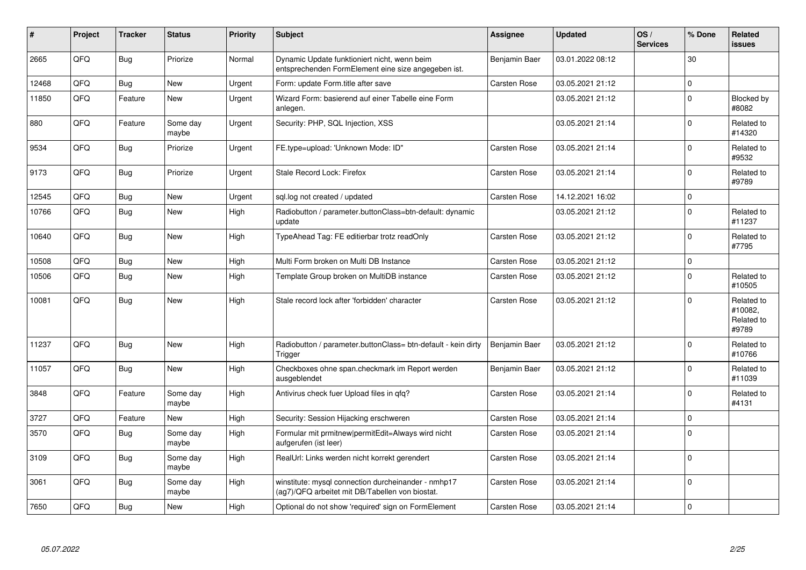| #     | Project | <b>Tracker</b> | <b>Status</b>     | <b>Priority</b> | <b>Subject</b>                                                                                         | <b>Assignee</b>     | <b>Updated</b>   | OS/<br><b>Services</b> | % Done      | Related<br><b>issues</b>                     |
|-------|---------|----------------|-------------------|-----------------|--------------------------------------------------------------------------------------------------------|---------------------|------------------|------------------------|-------------|----------------------------------------------|
| 2665  | QFQ     | <b>Bug</b>     | Priorize          | Normal          | Dynamic Update funktioniert nicht, wenn beim<br>entsprechenden FormElement eine size angegeben ist.    | Benjamin Baer       | 03.01.2022 08:12 |                        | 30          |                                              |
| 12468 | QFQ     | Bug            | <b>New</b>        | Urgent          | Form: update Form.title after save                                                                     | <b>Carsten Rose</b> | 03.05.2021 21:12 |                        | $\Omega$    |                                              |
| 11850 | QFQ     | Feature        | New               | Urgent          | Wizard Form: basierend auf einer Tabelle eine Form<br>anlegen.                                         |                     | 03.05.2021 21:12 |                        | $\Omega$    | Blocked by<br>#8082                          |
| 880   | QFQ     | Feature        | Some day<br>maybe | Urgent          | Security: PHP, SQL Injection, XSS                                                                      |                     | 03.05.2021 21:14 |                        | $\Omega$    | Related to<br>#14320                         |
| 9534  | QFQ     | <b>Bug</b>     | Priorize          | Urgent          | FE.type=upload: 'Unknown Mode: ID"                                                                     | Carsten Rose        | 03.05.2021 21:14 |                        | $\Omega$    | Related to<br>#9532                          |
| 9173  | QFQ     | <b>Bug</b>     | Priorize          | Urgent          | Stale Record Lock: Firefox                                                                             | <b>Carsten Rose</b> | 03.05.2021 21:14 |                        | $\Omega$    | Related to<br>#9789                          |
| 12545 | QFQ     | <b>Bug</b>     | <b>New</b>        | Urgent          | sql.log not created / updated                                                                          | <b>Carsten Rose</b> | 14.12.2021 16:02 |                        | $\mathbf 0$ |                                              |
| 10766 | QFQ     | <b>Bug</b>     | New               | High            | Radiobutton / parameter.buttonClass=btn-default: dynamic<br>update                                     |                     | 03.05.2021 21:12 |                        | $\Omega$    | Related to<br>#11237                         |
| 10640 | QFQ     | <b>Bug</b>     | <b>New</b>        | High            | TypeAhead Tag: FE editierbar trotz readOnly                                                            | Carsten Rose        | 03.05.2021 21:12 |                        | $\Omega$    | Related to<br>#7795                          |
| 10508 | QFQ     | <b>Bug</b>     | <b>New</b>        | High            | Multi Form broken on Multi DB Instance                                                                 | <b>Carsten Rose</b> | 03.05.2021 21:12 |                        | $\mathbf 0$ |                                              |
| 10506 | QFQ     | Bug            | New               | High            | Template Group broken on MultiDB instance                                                              | <b>Carsten Rose</b> | 03.05.2021 21:12 |                        | $\Omega$    | Related to<br>#10505                         |
| 10081 | QFQ     | <b>Bug</b>     | New               | High            | Stale record lock after 'forbidden' character                                                          | <b>Carsten Rose</b> | 03.05.2021 21:12 |                        | $\Omega$    | Related to<br>#10082.<br>Related to<br>#9789 |
| 11237 | QFQ     | <b>Bug</b>     | <b>New</b>        | High            | Radiobutton / parameter.buttonClass= btn-default - kein dirty<br>Trigger                               | Benjamin Baer       | 03.05.2021 21:12 |                        | $\Omega$    | Related to<br>#10766                         |
| 11057 | QFQ     | <b>Bug</b>     | New               | High            | Checkboxes ohne span.checkmark im Report werden<br>ausgeblendet                                        | Benjamin Baer       | 03.05.2021 21:12 |                        | $\Omega$    | Related to<br>#11039                         |
| 3848  | QFQ     | Feature        | Some day<br>maybe | High            | Antivirus check fuer Upload files in qfq?                                                              | Carsten Rose        | 03.05.2021 21:14 |                        | $\Omega$    | Related to<br>#4131                          |
| 3727  | QFQ     | Feature        | New               | High            | Security: Session Hijacking erschweren                                                                 | <b>Carsten Rose</b> | 03.05.2021 21:14 |                        | $\Omega$    |                                              |
| 3570  | QFQ     | <b>Bug</b>     | Some day<br>maybe | High            | Formular mit prmitnew permitEdit=Always wird nicht<br>aufgerufen (ist leer)                            | Carsten Rose        | 03.05.2021 21:14 |                        | $\Omega$    |                                              |
| 3109  | QFQ     | <b>Bug</b>     | Some day<br>maybe | High            | RealUrl: Links werden nicht korrekt gerendert                                                          | <b>Carsten Rose</b> | 03.05.2021 21:14 |                        | $\mathbf 0$ |                                              |
| 3061  | QFQ     | Bug            | Some day<br>maybe | High            | winstitute: mysql connection durcheinander - nmhp17<br>(ag7)/QFQ arbeitet mit DB/Tabellen von biostat. | Carsten Rose        | 03.05.2021 21:14 |                        | $\Omega$    |                                              |
| 7650  | QFQ     | Bug            | <b>New</b>        | High            | Optional do not show 'required' sign on FormElement                                                    | <b>Carsten Rose</b> | 03.05.2021 21:14 |                        | $\Omega$    |                                              |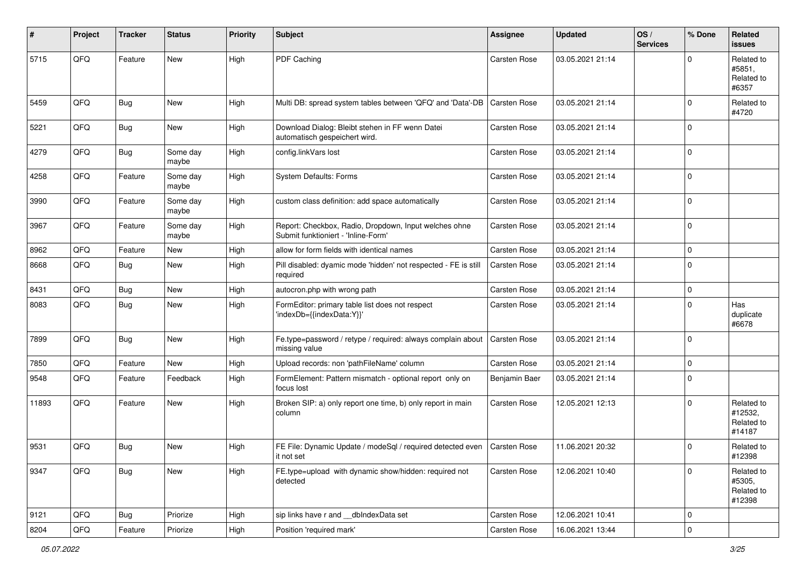| #     | Project        | <b>Tracker</b> | <b>Status</b>     | <b>Priority</b> | Subject                                                                                      | <b>Assignee</b>     | <b>Updated</b>   | OS/<br><b>Services</b> | % Done      | Related<br>issues                             |
|-------|----------------|----------------|-------------------|-----------------|----------------------------------------------------------------------------------------------|---------------------|------------------|------------------------|-------------|-----------------------------------------------|
| 5715  | QFQ            | Feature        | New               | High            | PDF Caching                                                                                  | <b>Carsten Rose</b> | 03.05.2021 21:14 |                        | $\Omega$    | Related to<br>#5851,<br>Related to<br>#6357   |
| 5459  | QFQ            | <b>Bug</b>     | New               | High            | Multi DB: spread system tables between 'QFQ' and 'Data'-DB   Carsten Rose                    |                     | 03.05.2021 21:14 |                        | $\Omega$    | Related to<br>#4720                           |
| 5221  | QFQ            | <b>Bug</b>     | New               | High            | Download Dialog: Bleibt stehen in FF wenn Datei<br>automatisch gespeichert wird.             | <b>Carsten Rose</b> | 03.05.2021 21:14 |                        | $\Omega$    |                                               |
| 4279  | QFQ            | <b>Bug</b>     | Some day<br>maybe | High            | config.linkVars lost                                                                         | <b>Carsten Rose</b> | 03.05.2021 21:14 |                        | $\Omega$    |                                               |
| 4258  | QFQ            | Feature        | Some day<br>maybe | High            | System Defaults: Forms                                                                       | Carsten Rose        | 03.05.2021 21:14 |                        | $\Omega$    |                                               |
| 3990  | QFQ            | Feature        | Some day<br>maybe | High            | custom class definition: add space automatically                                             | Carsten Rose        | 03.05.2021 21:14 |                        | $\Omega$    |                                               |
| 3967  | QFQ            | Feature        | Some day<br>maybe | High            | Report: Checkbox, Radio, Dropdown, Input welches ohne<br>Submit funktioniert - 'Inline-Form' | Carsten Rose        | 03.05.2021 21:14 |                        | $\mathbf 0$ |                                               |
| 8962  | QFQ            | Feature        | New               | High            | allow for form fields with identical names                                                   | <b>Carsten Rose</b> | 03.05.2021 21:14 |                        | $\mathbf 0$ |                                               |
| 8668  | QFQ            | Bug            | New               | High            | Pill disabled: dyamic mode 'hidden' not respected - FE is still<br>required                  | Carsten Rose        | 03.05.2021 21:14 |                        | $\Omega$    |                                               |
| 8431  | QFQ            | Bug            | New               | High            | autocron.php with wrong path                                                                 | <b>Carsten Rose</b> | 03.05.2021 21:14 |                        | 0           |                                               |
| 8083  | QFQ            | Bug            | New               | High            | FormEditor: primary table list does not respect<br>'indexDb={{indexData:Y}}'                 | Carsten Rose        | 03.05.2021 21:14 |                        | $\Omega$    | Has<br>duplicate<br>#6678                     |
| 7899  | QFQ            | Bug            | New               | High            | Fe.type=password / retype / required: always complain about<br>missing value                 | <b>Carsten Rose</b> | 03.05.2021 21:14 |                        | 0 I         |                                               |
| 7850  | QFQ            | Feature        | New               | High            | Upload records: non 'pathFileName' column                                                    | <b>Carsten Rose</b> | 03.05.2021 21:14 |                        | $\mathbf 0$ |                                               |
| 9548  | QFQ            | Feature        | Feedback          | High            | FormElement: Pattern mismatch - optional report only on<br>focus lost                        | Benjamin Baer       | 03.05.2021 21:14 |                        | $\Omega$    |                                               |
| 11893 | QFQ            | Feature        | New               | High            | Broken SIP: a) only report one time, b) only report in main<br>column                        | Carsten Rose        | 12.05.2021 12:13 |                        | $\Omega$    | Related to<br>#12532,<br>Related to<br>#14187 |
| 9531  | QFQ            | <b>Bug</b>     | New               | High            | FE File: Dynamic Update / modeSql / required detected even   Carsten Rose<br>it not set      |                     | 11.06.2021 20:32 |                        | $\Omega$    | Related to<br>#12398                          |
| 9347  | QFG            | Bug            | New               | High            | FE.type=upload with dynamic show/hidden: required not<br>detected                            | Carsten Rose        | 12.06.2021 10:40 |                        | $\Omega$    | Related to<br>#5305,<br>Related to<br>#12398  |
| 9121  | QFG            | <b>Bug</b>     | Priorize          | High            | sip links have r and __dbIndexData set                                                       | Carsten Rose        | 12.06.2021 10:41 |                        | $\mathbf 0$ |                                               |
| 8204  | $\mathsf{QFQ}$ | Feature        | Priorize          | High            | Position 'required mark'                                                                     | Carsten Rose        | 16.06.2021 13:44 |                        | 0           |                                               |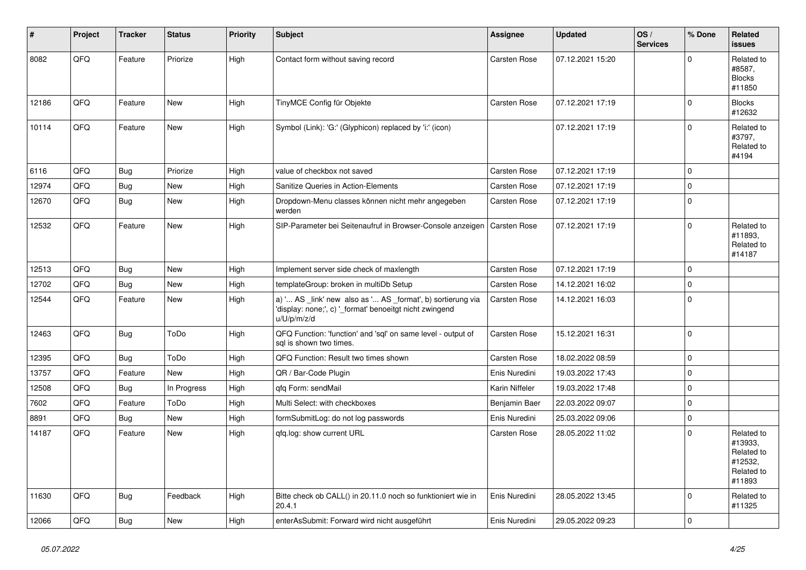| #     | Project | <b>Tracker</b> | <b>Status</b> | <b>Priority</b> | <b>Subject</b>                                                                                                                        | Assignee            | <b>Updated</b>   | OS/<br><b>Services</b> | % Done      | Related<br><b>issues</b>                                               |
|-------|---------|----------------|---------------|-----------------|---------------------------------------------------------------------------------------------------------------------------------------|---------------------|------------------|------------------------|-------------|------------------------------------------------------------------------|
| 8082  | QFQ     | Feature        | Priorize      | High            | Contact form without saving record                                                                                                    | Carsten Rose        | 07.12.2021 15:20 |                        | $\Omega$    | Related to<br>#8587,<br><b>Blocks</b><br>#11850                        |
| 12186 | QFQ     | Feature        | <b>New</b>    | High            | TinyMCE Config für Objekte                                                                                                            | <b>Carsten Rose</b> | 07.12.2021 17:19 |                        | $\Omega$    | <b>Blocks</b><br>#12632                                                |
| 10114 | QFQ     | Feature        | New           | High            | Symbol (Link): 'G:' (Glyphicon) replaced by 'i:' (icon)                                                                               |                     | 07.12.2021 17:19 |                        | $\Omega$    | Related to<br>#3797,<br>Related to<br>#4194                            |
| 6116  | QFQ     | <b>Bug</b>     | Priorize      | High            | value of checkbox not saved                                                                                                           | <b>Carsten Rose</b> | 07.12.2021 17:19 |                        | $\Omega$    |                                                                        |
| 12974 | QFQ     | Bug            | New           | High            | Sanitize Queries in Action-Elements                                                                                                   | <b>Carsten Rose</b> | 07.12.2021 17:19 |                        | $\mathbf 0$ |                                                                        |
| 12670 | QFQ     | Bug            | New           | High            | Dropdown-Menu classes können nicht mehr angegeben<br>werden                                                                           | Carsten Rose        | 07.12.2021 17:19 |                        | $\Omega$    |                                                                        |
| 12532 | QFQ     | Feature        | New           | High            | SIP-Parameter bei Seitenaufruf in Browser-Console anzeigen                                                                            | <b>Carsten Rose</b> | 07.12.2021 17:19 |                        | $\Omega$    | Related to<br>#11893,<br>Related to<br>#14187                          |
| 12513 | QFQ     | <b>Bug</b>     | New           | High            | Implement server side check of maxlength                                                                                              | Carsten Rose        | 07.12.2021 17:19 |                        | $\Omega$    |                                                                        |
| 12702 | QFQ     | Bug            | New           | High            | templateGroup: broken in multiDb Setup                                                                                                | <b>Carsten Rose</b> | 14.12.2021 16:02 |                        | $\mathbf 0$ |                                                                        |
| 12544 | QFQ     | Feature        | New           | High            | a) ' AS _link' new also as ' AS _format', b) sortierung via<br>'display: none;', c) '_format' benoeitgt nicht zwingend<br>u/U/p/m/z/d | Carsten Rose        | 14.12.2021 16:03 |                        | $\Omega$    |                                                                        |
| 12463 | QFQ     | <b>Bug</b>     | ToDo          | High            | QFQ Function: 'function' and 'sql' on same level - output of<br>sql is shown two times.                                               | Carsten Rose        | 15.12.2021 16:31 |                        | I٥          |                                                                        |
| 12395 | QFQ     | <b>Bug</b>     | ToDo          | High            | QFQ Function: Result two times shown                                                                                                  | <b>Carsten Rose</b> | 18.02.2022 08:59 |                        | $\mathbf 0$ |                                                                        |
| 13757 | QFQ     | Feature        | New           | High            | QR / Bar-Code Plugin                                                                                                                  | Enis Nuredini       | 19.03.2022 17:43 |                        | $\Omega$    |                                                                        |
| 12508 | QFQ     | Bug            | In Progress   | High            | qfq Form: sendMail                                                                                                                    | Karin Niffeler      | 19.03.2022 17:48 |                        | $\Omega$    |                                                                        |
| 7602  | QFQ     | Feature        | ToDo          | High            | Multi Select: with checkboxes                                                                                                         | Benjamin Baer       | 22.03.2022 09:07 |                        | $\mathbf 0$ |                                                                        |
| 8891  | QFQ     | Bug            | New           | High            | formSubmitLog: do not log passwords                                                                                                   | Enis Nuredini       | 25.03.2022 09:06 |                        | $\mathbf 0$ |                                                                        |
| 14187 | QFQ     | Feature        | New           | High            | gfg.log: show current URL                                                                                                             | Carsten Rose        | 28.05.2022 11:02 |                        | $\Omega$    | Related to<br>#13933,<br>Related to<br>#12532,<br>Related to<br>#11893 |
| 11630 | QFQ     | Bug            | Feedback      | High            | Bitte check ob CALL() in 20.11.0 noch so funktioniert wie in<br>20.4.1                                                                | Enis Nuredini       | 28.05.2022 13:45 |                        | $\Omega$    | Related to<br>#11325                                                   |
| 12066 | QFQ     | Bug            | New           | High            | enterAsSubmit: Forward wird nicht ausgeführt                                                                                          | Enis Nuredini       | 29.05.2022 09:23 |                        | $\mathbf 0$ |                                                                        |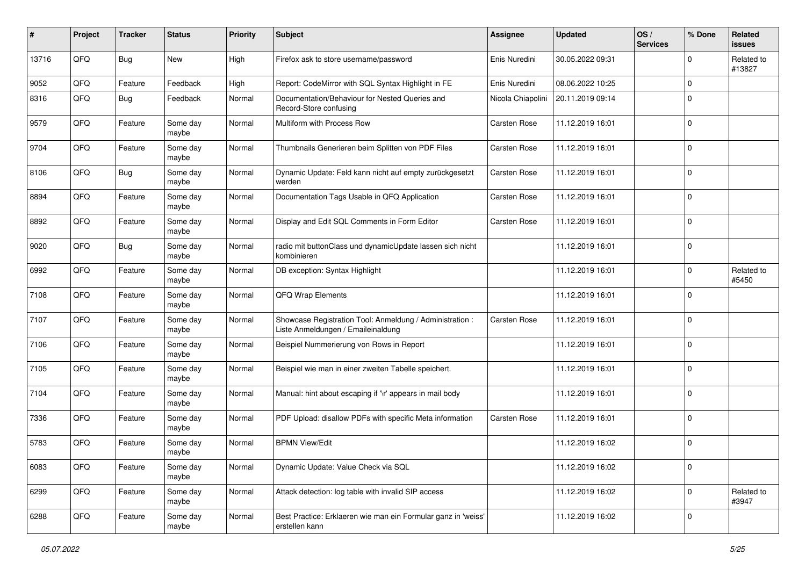| #     | Project | <b>Tracker</b> | <b>Status</b>     | <b>Priority</b> | <b>Subject</b>                                                                                 | <b>Assignee</b>     | <b>Updated</b>   | OS/<br><b>Services</b> | % Done      | Related<br>issues    |
|-------|---------|----------------|-------------------|-----------------|------------------------------------------------------------------------------------------------|---------------------|------------------|------------------------|-------------|----------------------|
| 13716 | QFQ     | <b>Bug</b>     | New               | High            | Firefox ask to store username/password                                                         | Enis Nuredini       | 30.05.2022 09:31 |                        | 0           | Related to<br>#13827 |
| 9052  | QFQ     | Feature        | Feedback          | High            | Report: CodeMirror with SQL Syntax Highlight in FE                                             | Enis Nuredini       | 08.06.2022 10:25 |                        | $\mathbf 0$ |                      |
| 8316  | QFQ     | Bug            | Feedback          | Normal          | Documentation/Behaviour for Nested Queries and<br>Record-Store confusing                       | Nicola Chiapolini   | 20.11.2019 09:14 |                        | $\mathbf 0$ |                      |
| 9579  | QFQ     | Feature        | Some day<br>maybe | Normal          | Multiform with Process Row                                                                     | <b>Carsten Rose</b> | 11.12.2019 16:01 |                        | 0           |                      |
| 9704  | QFQ     | Feature        | Some day<br>maybe | Normal          | Thumbnails Generieren beim Splitten von PDF Files                                              | Carsten Rose        | 11.12.2019 16:01 |                        | 0           |                      |
| 8106  | QFQ     | <b>Bug</b>     | Some day<br>maybe | Normal          | Dynamic Update: Feld kann nicht auf empty zurückgesetzt<br>werden                              | Carsten Rose        | 11.12.2019 16:01 |                        | 0           |                      |
| 8894  | QFQ     | Feature        | Some day<br>maybe | Normal          | Documentation Tags Usable in QFQ Application                                                   | Carsten Rose        | 11.12.2019 16:01 |                        | 0           |                      |
| 8892  | QFQ     | Feature        | Some day<br>maybe | Normal          | Display and Edit SQL Comments in Form Editor                                                   | <b>Carsten Rose</b> | 11.12.2019 16:01 |                        | $\mathbf 0$ |                      |
| 9020  | QFQ     | <b>Bug</b>     | Some day<br>maybe | Normal          | radio mit buttonClass und dynamicUpdate lassen sich nicht<br>kombinieren                       |                     | 11.12.2019 16:01 |                        | $\mathbf 0$ |                      |
| 6992  | QFQ     | Feature        | Some day<br>maybe | Normal          | DB exception: Syntax Highlight                                                                 |                     | 11.12.2019 16:01 |                        | 0           | Related to<br>#5450  |
| 7108  | QFQ     | Feature        | Some day<br>maybe | Normal          | QFQ Wrap Elements                                                                              |                     | 11.12.2019 16:01 |                        | $\mathbf 0$ |                      |
| 7107  | QFQ     | Feature        | Some day<br>maybe | Normal          | Showcase Registration Tool: Anmeldung / Administration :<br>Liste Anmeldungen / Emaileinaldung | <b>Carsten Rose</b> | 11.12.2019 16:01 |                        | 0           |                      |
| 7106  | QFQ     | Feature        | Some day<br>maybe | Normal          | Beispiel Nummerierung von Rows in Report                                                       |                     | 11.12.2019 16:01 |                        | 0           |                      |
| 7105  | QFQ     | Feature        | Some day<br>maybe | Normal          | Beispiel wie man in einer zweiten Tabelle speichert.                                           |                     | 11.12.2019 16:01 |                        | $\mathbf 0$ |                      |
| 7104  | QFQ     | Feature        | Some day<br>maybe | Normal          | Manual: hint about escaping if '\r' appears in mail body                                       |                     | 11.12.2019 16:01 |                        | $\mathbf 0$ |                      |
| 7336  | QFQ     | Feature        | Some day<br>maybe | Normal          | PDF Upload: disallow PDFs with specific Meta information                                       | Carsten Rose        | 11.12.2019 16:01 |                        | $\mathbf 0$ |                      |
| 5783  | QFQ     | Feature        | Some day<br>maybe | Normal          | <b>BPMN View/Edit</b>                                                                          |                     | 11.12.2019 16:02 |                        | $\mathbf 0$ |                      |
| 6083  | QFQ     | Feature        | Some day<br>maybe | Normal          | Dynamic Update: Value Check via SQL                                                            |                     | 11.12.2019 16:02 |                        | 0           |                      |
| 6299  | QFQ     | Feature        | Some day<br>maybe | Normal          | Attack detection: log table with invalid SIP access                                            |                     | 11.12.2019 16:02 |                        | 0           | Related to<br>#3947  |
| 6288  | QFQ     | Feature        | Some day<br>maybe | Normal          | Best Practice: Erklaeren wie man ein Formular ganz in 'weiss'<br>erstellen kann                |                     | 11.12.2019 16:02 |                        | 0           |                      |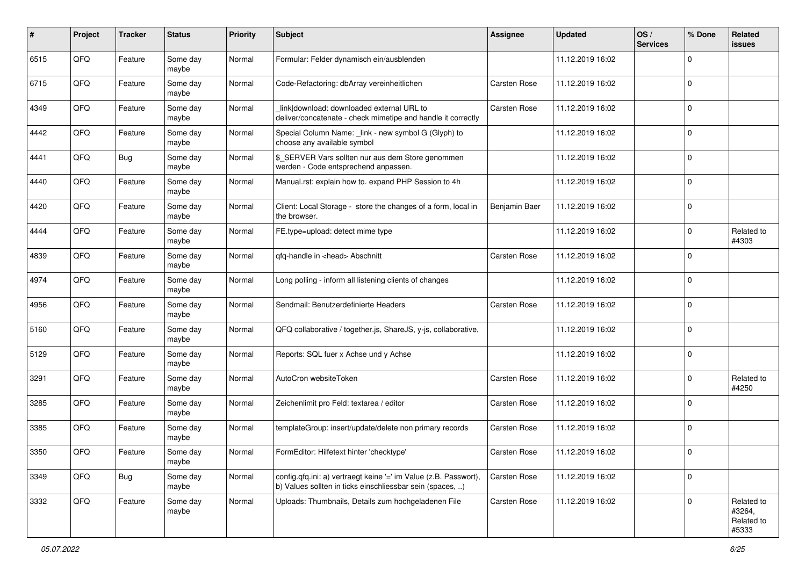| #    | Project | <b>Tracker</b> | <b>Status</b>     | <b>Priority</b> | Subject                                                                                                                       | <b>Assignee</b>     | <b>Updated</b>   | OS/<br><b>Services</b> | % Done              | Related<br>issues                           |
|------|---------|----------------|-------------------|-----------------|-------------------------------------------------------------------------------------------------------------------------------|---------------------|------------------|------------------------|---------------------|---------------------------------------------|
| 6515 | QFQ     | Feature        | Some day<br>maybe | Normal          | Formular: Felder dynamisch ein/ausblenden                                                                                     |                     | 11.12.2019 16:02 |                        | 0                   |                                             |
| 6715 | QFQ     | Feature        | Some day<br>maybe | Normal          | Code-Refactoring: dbArray vereinheitlichen                                                                                    | <b>Carsten Rose</b> | 11.12.2019 16:02 |                        | 0                   |                                             |
| 4349 | QFQ     | Feature        | Some day<br>maybe | Normal          | link download: downloaded external URL to<br>deliver/concatenate - check mimetipe and handle it correctly                     | Carsten Rose        | 11.12.2019 16:02 |                        | 0                   |                                             |
| 4442 | QFQ     | Feature        | Some day<br>maybe | Normal          | Special Column Name: _link - new symbol G (Glyph) to<br>choose any available symbol                                           |                     | 11.12.2019 16:02 |                        | $\mathbf 0$         |                                             |
| 4441 | QFQ     | <b>Bug</b>     | Some day<br>maybe | Normal          | \$_SERVER Vars sollten nur aus dem Store genommen<br>werden - Code entsprechend anpassen.                                     |                     | 11.12.2019 16:02 |                        | 0                   |                                             |
| 4440 | QFQ     | Feature        | Some day<br>maybe | Normal          | Manual.rst: explain how to. expand PHP Session to 4h                                                                          |                     | 11.12.2019 16:02 |                        | 0                   |                                             |
| 4420 | QFQ     | Feature        | Some day<br>maybe | Normal          | Client: Local Storage - store the changes of a form, local in<br>the browser.                                                 | Benjamin Baer       | 11.12.2019 16:02 |                        | 0                   |                                             |
| 4444 | QFQ     | Feature        | Some day<br>maybe | Normal          | FE.type=upload: detect mime type                                                                                              |                     | 11.12.2019 16:02 |                        | $\mathbf 0$         | Related to<br>#4303                         |
| 4839 | QFQ     | Feature        | Some day<br>maybe | Normal          | qfq-handle in <head> Abschnitt</head>                                                                                         | Carsten Rose        | 11.12.2019 16:02 |                        | 0                   |                                             |
| 4974 | QFQ     | Feature        | Some day<br>maybe | Normal          | Long polling - inform all listening clients of changes                                                                        |                     | 11.12.2019 16:02 |                        | $\mathbf 0$         |                                             |
| 4956 | QFQ     | Feature        | Some day<br>maybe | Normal          | Sendmail: Benutzerdefinierte Headers                                                                                          | Carsten Rose        | 11.12.2019 16:02 |                        | $\mathbf 0$         |                                             |
| 5160 | QFQ     | Feature        | Some day<br>maybe | Normal          | QFQ collaborative / together.js, ShareJS, y-js, collaborative,                                                                |                     | 11.12.2019 16:02 |                        | 0                   |                                             |
| 5129 | QFQ     | Feature        | Some day<br>maybe | Normal          | Reports: SQL fuer x Achse und y Achse                                                                                         |                     | 11.12.2019 16:02 |                        | 0                   |                                             |
| 3291 | QFQ     | Feature        | Some day<br>maybe | Normal          | AutoCron websiteToken                                                                                                         | Carsten Rose        | 11.12.2019 16:02 |                        | $\mathbf 0$         | Related to<br>#4250                         |
| 3285 | QFQ     | Feature        | Some day<br>maybe | Normal          | Zeichenlimit pro Feld: textarea / editor                                                                                      | Carsten Rose        | 11.12.2019 16:02 |                        | 0                   |                                             |
| 3385 | QFQ     | Feature        | Some day<br>maybe | Normal          | templateGroup: insert/update/delete non primary records                                                                       | Carsten Rose        | 11.12.2019 16:02 |                        | 0                   |                                             |
| 3350 | QFQ     | Feature        | Some day<br>maybe | Normal          | FormEditor: Hilfetext hinter 'checktype'                                                                                      | <b>Carsten Rose</b> | 11.12.2019 16:02 |                        | $\Omega$            |                                             |
| 3349 | QFQ     | <b>Bug</b>     | Some day<br>maybe | Normal          | config.qfq.ini: a) vertraegt keine '=' im Value (z.B. Passwort),<br>b) Values sollten in ticks einschliessbar sein (spaces, ) | Carsten Rose        | 11.12.2019 16:02 |                        | $\mathsf{O}\xspace$ |                                             |
| 3332 | QFQ     | Feature        | Some day<br>maybe | Normal          | Uploads: Thumbnails, Details zum hochgeladenen File                                                                           | Carsten Rose        | 11.12.2019 16:02 |                        | 0                   | Related to<br>#3264,<br>Related to<br>#5333 |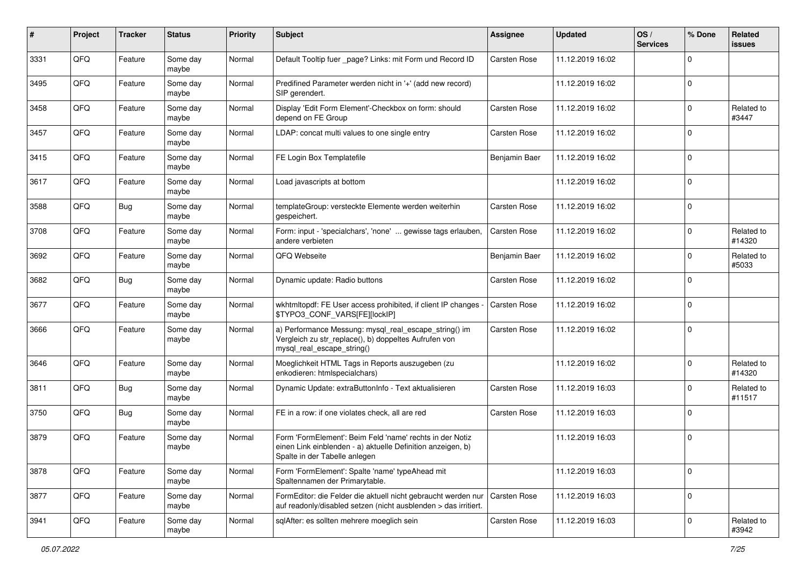| #    | Project | <b>Tracker</b> | <b>Status</b>     | <b>Priority</b> | Subject                                                                                                                                                  | Assignee            | <b>Updated</b>   | OS/<br><b>Services</b> | % Done         | Related<br>issues    |
|------|---------|----------------|-------------------|-----------------|----------------------------------------------------------------------------------------------------------------------------------------------------------|---------------------|------------------|------------------------|----------------|----------------------|
| 3331 | QFQ     | Feature        | Some day<br>maybe | Normal          | Default Tooltip fuer _page? Links: mit Form und Record ID                                                                                                | <b>Carsten Rose</b> | 11.12.2019 16:02 |                        | $\Omega$       |                      |
| 3495 | QFQ     | Feature        | Some day<br>maybe | Normal          | Predifined Parameter werden nicht in '+' (add new record)<br>SIP gerendert.                                                                              |                     | 11.12.2019 16:02 |                        | $\Omega$       |                      |
| 3458 | QFQ     | Feature        | Some day<br>maybe | Normal          | Display 'Edit Form Element'-Checkbox on form: should<br>depend on FE Group                                                                               | Carsten Rose        | 11.12.2019 16:02 |                        | $\Omega$       | Related to<br>#3447  |
| 3457 | QFQ     | Feature        | Some day<br>maybe | Normal          | LDAP: concat multi values to one single entry                                                                                                            | Carsten Rose        | 11.12.2019 16:02 |                        | $\Omega$       |                      |
| 3415 | QFQ     | Feature        | Some day<br>maybe | Normal          | FE Login Box Templatefile                                                                                                                                | Benjamin Baer       | 11.12.2019 16:02 |                        | $\Omega$       |                      |
| 3617 | QFQ     | Feature        | Some day<br>maybe | Normal          | Load javascripts at bottom                                                                                                                               |                     | 11.12.2019 16:02 |                        | $\Omega$       |                      |
| 3588 | QFQ     | <b>Bug</b>     | Some day<br>maybe | Normal          | templateGroup: versteckte Elemente werden weiterhin<br>gespeichert.                                                                                      | <b>Carsten Rose</b> | 11.12.2019 16:02 |                        | $\Omega$       |                      |
| 3708 | QFQ     | Feature        | Some day<br>maybe | Normal          | Form: input - 'specialchars', 'none'  gewisse tags erlauben,<br>andere verbieten                                                                         | <b>Carsten Rose</b> | 11.12.2019 16:02 |                        | $\Omega$       | Related to<br>#14320 |
| 3692 | QFQ     | Feature        | Some day<br>maybe | Normal          | QFQ Webseite                                                                                                                                             | Benjamin Baer       | 11.12.2019 16:02 |                        | $\Omega$       | Related to<br>#5033  |
| 3682 | QFQ     | Bug            | Some day<br>maybe | Normal          | Dynamic update: Radio buttons                                                                                                                            | Carsten Rose        | 11.12.2019 16:02 |                        | $\Omega$       |                      |
| 3677 | QFQ     | Feature        | Some day<br>maybe | Normal          | wkhtmltopdf: FE User access prohibited, if client IP changes<br>\$TYPO3_CONF_VARS[FE][lockIP]                                                            | Carsten Rose        | 11.12.2019 16:02 |                        | $\Omega$       |                      |
| 3666 | QFQ     | Feature        | Some day<br>maybe | Normal          | a) Performance Messung: mysql_real_escape_string() im<br>Vergleich zu str_replace(), b) doppeltes Aufrufen von<br>mysql_real_escape_string()             | Carsten Rose        | 11.12.2019 16:02 |                        | $\overline{0}$ |                      |
| 3646 | QFQ     | Feature        | Some day<br>maybe | Normal          | Moeglichkeit HTML Tags in Reports auszugeben (zu<br>enkodieren: htmlspecialchars)                                                                        |                     | 11.12.2019 16:02 |                        | $\Omega$       | Related to<br>#14320 |
| 3811 | QFQ     | Bug            | Some day<br>maybe | Normal          | Dynamic Update: extraButtonInfo - Text aktualisieren                                                                                                     | <b>Carsten Rose</b> | 11.12.2019 16:03 |                        | $\Omega$       | Related to<br>#11517 |
| 3750 | QFQ     | <b>Bug</b>     | Some day<br>maybe | Normal          | FE in a row: if one violates check, all are red                                                                                                          | Carsten Rose        | 11.12.2019 16:03 |                        | $\Omega$       |                      |
| 3879 | QFQ     | Feature        | Some day<br>maybe | Normal          | Form 'FormElement': Beim Feld 'name' rechts in der Notiz<br>einen Link einblenden - a) aktuelle Definition anzeigen, b)<br>Spalte in der Tabelle anlegen |                     | 11.12.2019 16:03 |                        | $\mathbf 0$    |                      |
| 3878 | QFQ     | Feature        | Some day<br>maybe | Normal          | Form 'FormElement': Spalte 'name' typeAhead mit<br>Spaltennamen der Primarytable.                                                                        |                     | 11.12.2019 16:03 |                        | 0              |                      |
| 3877 | QFQ     | Feature        | Some day<br>maybe | Normal          | FormEditor: die Felder die aktuell nicht gebraucht werden nur<br>auf readonly/disabled setzen (nicht ausblenden > das irritiert.                         | <b>Carsten Rose</b> | 11.12.2019 16:03 |                        | 0              |                      |
| 3941 | QFQ     | Feature        | Some day<br>maybe | Normal          | sqlAfter: es sollten mehrere moeglich sein                                                                                                               | Carsten Rose        | 11.12.2019 16:03 |                        | $\Omega$       | Related to<br>#3942  |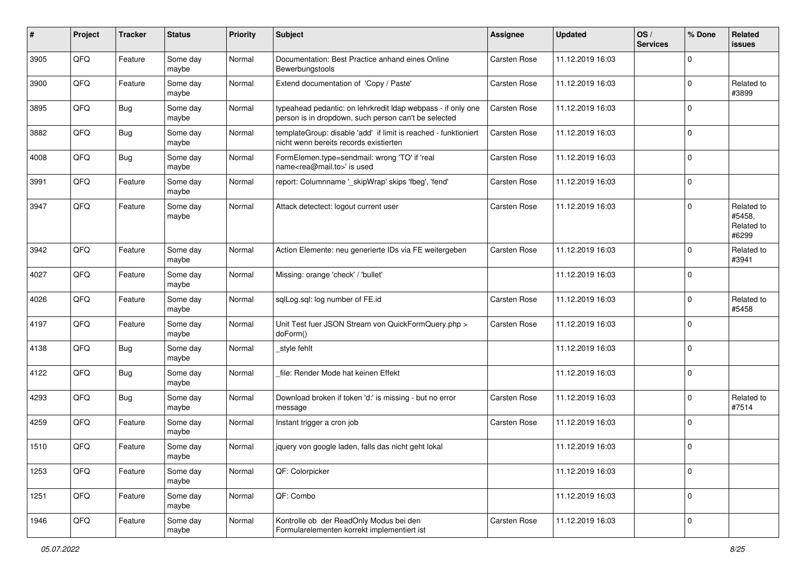| $\sharp$ | Project | <b>Tracker</b> | <b>Status</b>     | <b>Priority</b> | <b>Subject</b>                                                                                                       | <b>Assignee</b>     | <b>Updated</b>   | OS/<br><b>Services</b> | % Done      | Related<br>issues                           |
|----------|---------|----------------|-------------------|-----------------|----------------------------------------------------------------------------------------------------------------------|---------------------|------------------|------------------------|-------------|---------------------------------------------|
| 3905     | QFQ     | Feature        | Some day<br>maybe | Normal          | Documentation: Best Practice anhand eines Online<br>Bewerbungstools                                                  | Carsten Rose        | 11.12.2019 16:03 |                        | 0           |                                             |
| 3900     | QFQ     | Feature        | Some day<br>maybe | Normal          | Extend documentation of 'Copy / Paste'                                                                               | <b>Carsten Rose</b> | 11.12.2019 16:03 |                        | $\mathbf 0$ | Related to<br>#3899                         |
| 3895     | QFQ     | <b>Bug</b>     | Some day<br>maybe | Normal          | typeahead pedantic: on lehrkredit Idap webpass - if only one<br>person is in dropdown, such person can't be selected | Carsten Rose        | 11.12.2019 16:03 |                        | 0           |                                             |
| 3882     | QFQ     | <b>Bug</b>     | Some day<br>maybe | Normal          | templateGroup: disable 'add' if limit is reached - funktioniert<br>nicht wenn bereits records existierten            | Carsten Rose        | 11.12.2019 16:03 |                        | $\mathbf 0$ |                                             |
| 4008     | QFQ     | Bug            | Some day<br>maybe | Normal          | FormElemen.type=sendmail: wrong 'TO' if 'real<br>name <rea@mail.to>' is used</rea@mail.to>                           | Carsten Rose        | 11.12.2019 16:03 |                        | $\mathbf 0$ |                                             |
| 3991     | QFQ     | Feature        | Some day<br>maybe | Normal          | report: Columnname '_skipWrap' skips 'fbeg', 'fend'                                                                  | Carsten Rose        | 11.12.2019 16:03 |                        | $\mathbf 0$ |                                             |
| 3947     | QFQ     | Feature        | Some day<br>maybe | Normal          | Attack detectect: logout current user                                                                                | Carsten Rose        | 11.12.2019 16:03 |                        | $\mathbf 0$ | Related to<br>#5458,<br>Related to<br>#6299 |
| 3942     | QFQ     | Feature        | Some day<br>maybe | Normal          | Action Elemente: neu generierte IDs via FE weitergeben                                                               | <b>Carsten Rose</b> | 11.12.2019 16:03 |                        | $\mathbf 0$ | Related to<br>#3941                         |
| 4027     | QFQ     | Feature        | Some day<br>maybe | Normal          | Missing: orange 'check' / 'bullet'                                                                                   |                     | 11.12.2019 16:03 |                        | $\mathbf 0$ |                                             |
| 4026     | QFQ     | Feature        | Some day<br>maybe | Normal          | sqlLog.sql: log number of FE.id                                                                                      | Carsten Rose        | 11.12.2019 16:03 |                        | $\mathbf 0$ | Related to<br>#5458                         |
| 4197     | QFQ     | Feature        | Some day<br>maybe | Normal          | Unit Test fuer JSON Stream von QuickFormQuery.php ><br>doForm()                                                      | Carsten Rose        | 11.12.2019 16:03 |                        | $\mathbf 0$ |                                             |
| 4138     | QFQ     | <b>Bug</b>     | Some day<br>maybe | Normal          | style fehlt                                                                                                          |                     | 11.12.2019 16:03 |                        | $\mathbf 0$ |                                             |
| 4122     | QFQ     | <b>Bug</b>     | Some day<br>maybe | Normal          | file: Render Mode hat keinen Effekt                                                                                  |                     | 11.12.2019 16:03 |                        | $\Omega$    |                                             |
| 4293     | QFQ     | <b>Bug</b>     | Some day<br>maybe | Normal          | Download broken if token 'd:' is missing - but no error<br>message                                                   | Carsten Rose        | 11.12.2019 16:03 |                        | $\mathbf 0$ | Related to<br>#7514                         |
| 4259     | QFQ     | Feature        | Some day<br>maybe | Normal          | Instant trigger a cron job                                                                                           | <b>Carsten Rose</b> | 11.12.2019 16:03 |                        | $\mathbf 0$ |                                             |
| 1510     | QFQ     | Feature        | Some day<br>maybe | Normal          | jquery von google laden, falls das nicht geht lokal                                                                  |                     | 11.12.2019 16:03 |                        | $\mathbf 0$ |                                             |
| 1253     | QFQ     | Feature        | Some day<br>maybe | Normal          | QF: Colorpicker                                                                                                      |                     | 11.12.2019 16:03 |                        | $\mathbf 0$ |                                             |
| 1251     | QFQ     | Feature        | Some day<br>maybe | Normal          | QF: Combo                                                                                                            |                     | 11.12.2019 16:03 |                        | $\mathbf 0$ |                                             |
| 1946     | QFQ     | Feature        | Some day<br>maybe | Normal          | Kontrolle ob der ReadOnly Modus bei den<br>Formularelementen korrekt implementiert ist                               | Carsten Rose        | 11.12.2019 16:03 |                        | $\mathbf 0$ |                                             |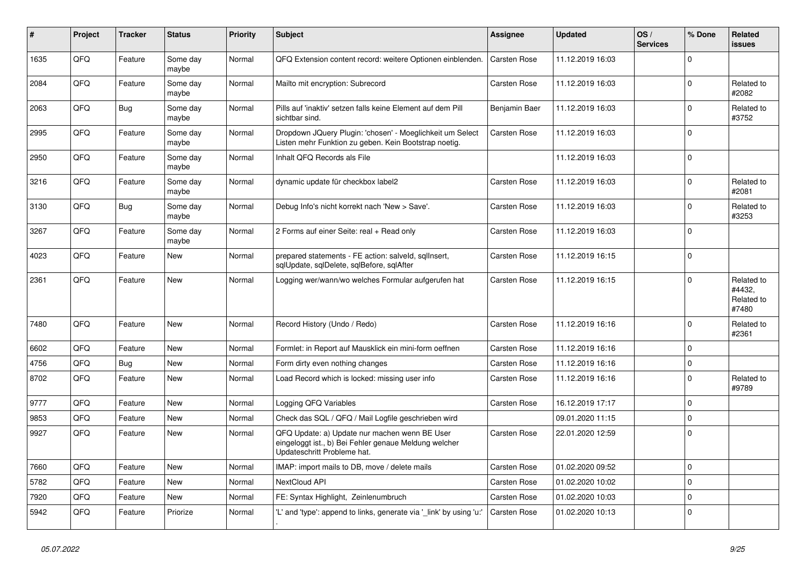| #    | <b>Project</b> | <b>Tracker</b> | <b>Status</b>     | <b>Priority</b> | <b>Subject</b>                                                                                                                        | Assignee            | <b>Updated</b>   | OS/<br><b>Services</b> | % Done         | Related<br><b>issues</b>                    |
|------|----------------|----------------|-------------------|-----------------|---------------------------------------------------------------------------------------------------------------------------------------|---------------------|------------------|------------------------|----------------|---------------------------------------------|
| 1635 | QFQ            | Feature        | Some day<br>maybe | Normal          | QFQ Extension content record: weitere Optionen einblenden.                                                                            | <b>Carsten Rose</b> | 11.12.2019 16:03 |                        | $\Omega$       |                                             |
| 2084 | QFQ            | Feature        | Some day<br>maybe | Normal          | Mailto mit encryption: Subrecord                                                                                                      | Carsten Rose        | 11.12.2019 16:03 |                        | $\Omega$       | Related to<br>#2082                         |
| 2063 | QFQ            | <b>Bug</b>     | Some day<br>maybe | Normal          | Pills auf 'inaktiv' setzen falls keine Element auf dem Pill<br>sichtbar sind.                                                         | Benjamin Baer       | 11.12.2019 16:03 |                        | $\Omega$       | Related to<br>#3752                         |
| 2995 | QFQ            | Feature        | Some day<br>maybe | Normal          | Dropdown JQuery Plugin: 'chosen' - Moeglichkeit um Select<br>Listen mehr Funktion zu geben. Kein Bootstrap noetig.                    | Carsten Rose        | 11.12.2019 16:03 |                        | $\Omega$       |                                             |
| 2950 | QFQ            | Feature        | Some day<br>maybe | Normal          | Inhalt QFQ Records als File                                                                                                           |                     | 11.12.2019 16:03 |                        | $\Omega$       |                                             |
| 3216 | QFQ            | Feature        | Some day<br>maybe | Normal          | dynamic update für checkbox label2                                                                                                    | <b>Carsten Rose</b> | 11.12.2019 16:03 |                        | $\Omega$       | Related to<br>#2081                         |
| 3130 | QFQ            | <b>Bug</b>     | Some day<br>maybe | Normal          | Debug Info's nicht korrekt nach 'New > Save'.                                                                                         | <b>Carsten Rose</b> | 11.12.2019 16:03 |                        | $\Omega$       | Related to<br>#3253                         |
| 3267 | QFQ            | Feature        | Some day<br>maybe | Normal          | 2 Forms auf einer Seite: real + Read only                                                                                             | Carsten Rose        | 11.12.2019 16:03 |                        | $\mathbf 0$    |                                             |
| 4023 | QFQ            | Feature        | New               | Normal          | prepared statements - FE action: salveld, sqllnsert,<br>sqlUpdate, sqlDelete, sqlBefore, sqlAfter                                     | <b>Carsten Rose</b> | 11.12.2019 16:15 |                        | $\Omega$       |                                             |
| 2361 | QFQ            | Feature        | <b>New</b>        | Normal          | Logging wer/wann/wo welches Formular aufgerufen hat                                                                                   | Carsten Rose        | 11.12.2019 16:15 |                        | $\Omega$       | Related to<br>#4432,<br>Related to<br>#7480 |
| 7480 | QFQ            | Feature        | <b>New</b>        | Normal          | Record History (Undo / Redo)                                                                                                          | <b>Carsten Rose</b> | 11.12.2019 16:16 |                        | $\Omega$       | Related to<br>#2361                         |
| 6602 | QFQ            | Feature        | <b>New</b>        | Normal          | Formlet: in Report auf Mausklick ein mini-form oeffnen                                                                                | <b>Carsten Rose</b> | 11.12.2019 16:16 |                        | $\Omega$       |                                             |
| 4756 | QFQ            | Bug            | <b>New</b>        | Normal          | Form dirty even nothing changes                                                                                                       | <b>Carsten Rose</b> | 11.12.2019 16:16 |                        | 0              |                                             |
| 8702 | QFQ            | Feature        | <b>New</b>        | Normal          | Load Record which is locked: missing user info                                                                                        | Carsten Rose        | 11.12.2019 16:16 |                        | $\Omega$       | Related to<br>#9789                         |
| 9777 | QFQ            | Feature        | <b>New</b>        | Normal          | Logging QFQ Variables                                                                                                                 | Carsten Rose        | 16.12.2019 17:17 |                        | $\Omega$       |                                             |
| 9853 | QFQ            | Feature        | <b>New</b>        | Normal          | Check das SQL / QFQ / Mail Logfile geschrieben wird                                                                                   |                     | 09.01.2020 11:15 |                        | $\Omega$       |                                             |
| 9927 | QFQ            | Feature        | New               | Normal          | QFQ Update: a) Update nur machen wenn BE User<br>eingeloggt ist., b) Bei Fehler genaue Meldung welcher<br>Updateschritt Probleme hat. | Carsten Rose        | 22.01.2020 12:59 |                        | $\overline{0}$ |                                             |
| 7660 | QFQ            | Feature        | <b>New</b>        | Normal          | IMAP: import mails to DB, move / delete mails                                                                                         | <b>Carsten Rose</b> | 01.02.2020 09:52 |                        | 0              |                                             |
| 5782 | QFQ            | Feature        | <b>New</b>        | Normal          | NextCloud API                                                                                                                         | <b>Carsten Rose</b> | 01.02.2020 10:02 |                        | $\Omega$       |                                             |
| 7920 | QFQ            | Feature        | <b>New</b>        | Normal          | FE: Syntax Highlight, Zeinlenumbruch                                                                                                  | <b>Carsten Rose</b> | 01.02.2020 10:03 |                        | $\mathbf 0$    |                                             |
| 5942 | QFQ            | Feature        | Priorize          | Normal          | 'L' and 'type': append to links, generate via 'link' by using 'u:'                                                                    | <b>Carsten Rose</b> | 01.02.2020 10:13 |                        | $\Omega$       |                                             |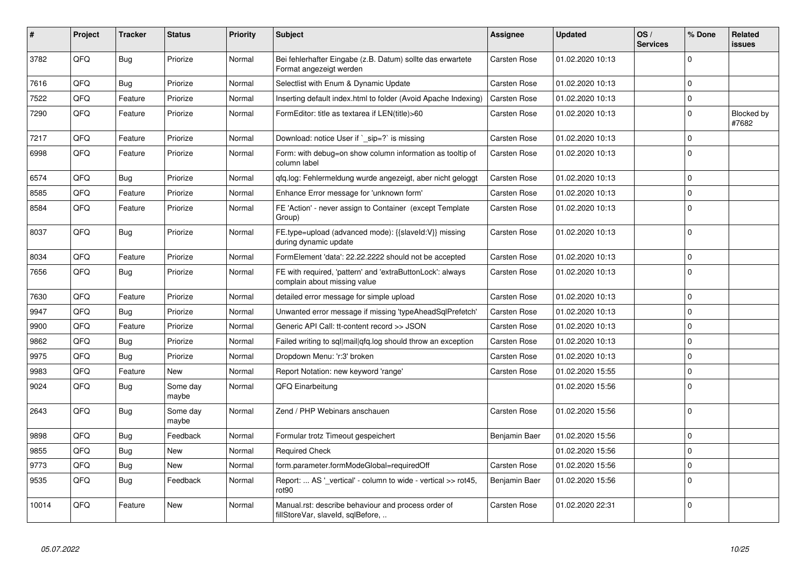| #     | Project | <b>Tracker</b> | <b>Status</b>     | <b>Priority</b> | <b>Subject</b>                                                                            | <b>Assignee</b> | <b>Updated</b>   | OS/<br><b>Services</b> | % Done      | Related<br>issues   |
|-------|---------|----------------|-------------------|-----------------|-------------------------------------------------------------------------------------------|-----------------|------------------|------------------------|-------------|---------------------|
| 3782  | QFQ     | <b>Bug</b>     | Priorize          | Normal          | Bei fehlerhafter Eingabe (z.B. Datum) sollte das erwartete<br>Format angezeigt werden     | Carsten Rose    | 01.02.2020 10:13 |                        | $\Omega$    |                     |
| 7616  | QFQ     | <b>Bug</b>     | Priorize          | Normal          | Selectlist with Enum & Dynamic Update                                                     | Carsten Rose    | 01.02.2020 10:13 |                        | $\mathbf 0$ |                     |
| 7522  | QFQ     | Feature        | Priorize          | Normal          | Inserting default index.html to folder (Avoid Apache Indexing)                            | Carsten Rose    | 01.02.2020 10:13 |                        | $\mathbf 0$ |                     |
| 7290  | QFQ     | Feature        | Priorize          | Normal          | FormEditor: title as textarea if LEN(title)>60                                            | Carsten Rose    | 01.02.2020 10:13 |                        | $\Omega$    | Blocked by<br>#7682 |
| 7217  | QFQ     | Feature        | Priorize          | Normal          | Download: notice User if `_sip=?` is missing                                              | Carsten Rose    | 01.02.2020 10:13 |                        | $\mathbf 0$ |                     |
| 6998  | QFQ     | Feature        | Priorize          | Normal          | Form: with debug=on show column information as tooltip of<br>column label                 | Carsten Rose    | 01.02.2020 10:13 |                        | $\Omega$    |                     |
| 6574  | QFQ     | <b>Bug</b>     | Priorize          | Normal          | qfq.log: Fehlermeldung wurde angezeigt, aber nicht geloggt                                | Carsten Rose    | 01.02.2020 10:13 |                        | $\Omega$    |                     |
| 8585  | QFQ     | Feature        | Priorize          | Normal          | Enhance Error message for 'unknown form'                                                  | Carsten Rose    | 01.02.2020 10:13 |                        | $\mathbf 0$ |                     |
| 8584  | QFQ     | Feature        | Priorize          | Normal          | FE 'Action' - never assign to Container (except Template<br>Group)                        | Carsten Rose    | 01.02.2020 10:13 |                        | $\mathbf 0$ |                     |
| 8037  | QFQ     | Bug            | Priorize          | Normal          | FE.type=upload (advanced mode): {{slaveld:V}} missing<br>during dynamic update            | Carsten Rose    | 01.02.2020 10:13 |                        | $\mathbf 0$ |                     |
| 8034  | QFQ     | Feature        | Priorize          | Normal          | FormElement 'data': 22.22.2222 should not be accepted                                     | Carsten Rose    | 01.02.2020 10:13 |                        | $\mathbf 0$ |                     |
| 7656  | QFQ     | <b>Bug</b>     | Priorize          | Normal          | FE with required, 'pattern' and 'extraButtonLock': always<br>complain about missing value | Carsten Rose    | 01.02.2020 10:13 |                        | $\mathbf 0$ |                     |
| 7630  | QFQ     | Feature        | Priorize          | Normal          | detailed error message for simple upload                                                  | Carsten Rose    | 01.02.2020 10:13 |                        | $\mathbf 0$ |                     |
| 9947  | QFQ     | <b>Bug</b>     | Priorize          | Normal          | Unwanted error message if missing 'typeAheadSqlPrefetch'                                  | Carsten Rose    | 01.02.2020 10:13 |                        | $\Omega$    |                     |
| 9900  | QFQ     | Feature        | Priorize          | Normal          | Generic API Call: tt-content record >> JSON                                               | Carsten Rose    | 01.02.2020 10:13 |                        | $\mathbf 0$ |                     |
| 9862  | QFQ     | Bug            | Priorize          | Normal          | Failed writing to sql mail qfq.log should throw an exception                              | Carsten Rose    | 01.02.2020 10:13 |                        | $\mathbf 0$ |                     |
| 9975  | QFQ     | <b>Bug</b>     | Priorize          | Normal          | Dropdown Menu: 'r:3' broken                                                               | Carsten Rose    | 01.02.2020 10:13 |                        | $\Omega$    |                     |
| 9983  | QFQ     | Feature        | New               | Normal          | Report Notation: new keyword 'range'                                                      | Carsten Rose    | 01.02.2020 15:55 |                        | $\mathbf 0$ |                     |
| 9024  | QFQ     | <b>Bug</b>     | Some day<br>maybe | Normal          | QFQ Einarbeitung                                                                          |                 | 01.02.2020 15:56 |                        | $\Omega$    |                     |
| 2643  | QFQ     | <b>Bug</b>     | Some day<br>maybe | Normal          | Zend / PHP Webinars anschauen                                                             | Carsten Rose    | 01.02.2020 15:56 |                        | $\mathbf 0$ |                     |
| 9898  | QFQ     | Bug            | Feedback          | Normal          | Formular trotz Timeout gespeichert                                                        | Benjamin Baer   | 01.02.2020 15:56 |                        | $\mathbf 0$ |                     |
| 9855  | QFQ     | <b>Bug</b>     | New               | Normal          | <b>Required Check</b>                                                                     |                 | 01.02.2020 15:56 |                        | $\Omega$    |                     |
| 9773  | QFQ     | <b>Bug</b>     | New               | Normal          | form.parameter.formModeGlobal=requiredOff                                                 | Carsten Rose    | 01.02.2020 15:56 |                        | $\mathbf 0$ |                     |
| 9535  | QFQ     | <b>Bug</b>     | Feedback          | Normal          | Report:  AS ' vertical' - column to wide - vertical >> rot45,<br>rot90                    | Benjamin Baer   | 01.02.2020 15:56 |                        | $\mathbf 0$ |                     |
| 10014 | QFQ     | Feature        | New               | Normal          | Manual.rst: describe behaviour and process order of<br>fillStoreVar, slaveId, sqlBefore,  | Carsten Rose    | 01.02.2020 22:31 |                        | $\Omega$    |                     |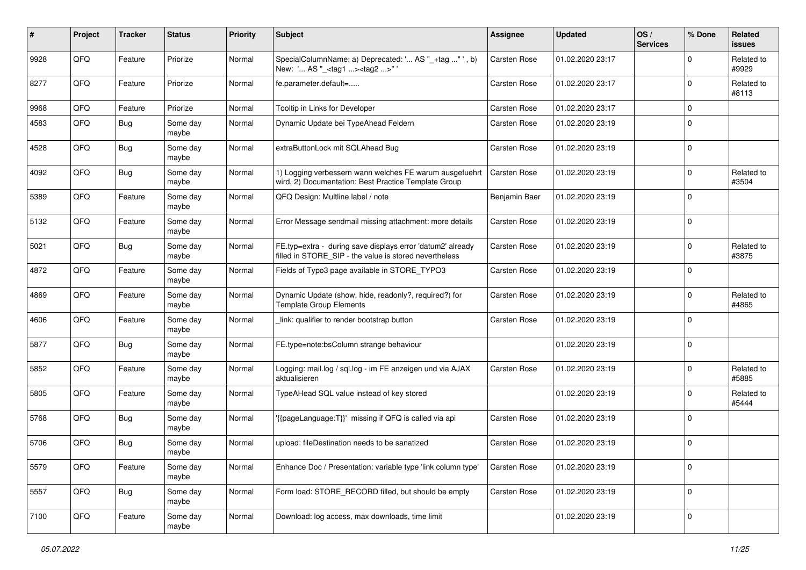| #    | Project | <b>Tracker</b> | <b>Status</b>     | <b>Priority</b> | <b>Subject</b>                                                                                                       | <b>Assignee</b>     | <b>Updated</b>   | OS/<br><b>Services</b> | % Done      | Related<br>issues   |
|------|---------|----------------|-------------------|-----------------|----------------------------------------------------------------------------------------------------------------------|---------------------|------------------|------------------------|-------------|---------------------|
| 9928 | QFQ     | Feature        | Priorize          | Normal          | SpecialColumnName: a) Deprecated: ' AS "_+tag " ', b)<br>New: ' AS "_ <tag1><tag2>"'</tag2></tag1>                   | <b>Carsten Rose</b> | 01.02.2020 23:17 |                        | 0           | Related to<br>#9929 |
| 8277 | QFQ     | Feature        | Priorize          | Normal          | fe.parameter.default=                                                                                                | <b>Carsten Rose</b> | 01.02.2020 23:17 |                        | 0           | Related to<br>#8113 |
| 9968 | QFQ     | Feature        | Priorize          | Normal          | Tooltip in Links for Developer                                                                                       | Carsten Rose        | 01.02.2020 23:17 |                        | 0           |                     |
| 4583 | QFQ     | Bug            | Some day<br>maybe | Normal          | Dynamic Update bei TypeAhead Feldern                                                                                 | Carsten Rose        | 01.02.2020 23:19 |                        | $\mathbf 0$ |                     |
| 4528 | QFQ     | <b>Bug</b>     | Some day<br>maybe | Normal          | extraButtonLock mit SQLAhead Bug                                                                                     | Carsten Rose        | 01.02.2020 23:19 |                        | $\mathbf 0$ |                     |
| 4092 | QFQ     | <b>Bug</b>     | Some day<br>maybe | Normal          | 1) Logging verbessern wann welches FE warum ausgefuehrt<br>wird, 2) Documentation: Best Practice Template Group      | <b>Carsten Rose</b> | 01.02.2020 23:19 |                        | $\mathbf 0$ | Related to<br>#3504 |
| 5389 | QFQ     | Feature        | Some day<br>maybe | Normal          | QFQ Design: Multline label / note                                                                                    | Benjamin Baer       | 01.02.2020 23:19 |                        | 0           |                     |
| 5132 | QFQ     | Feature        | Some day<br>maybe | Normal          | Error Message sendmail missing attachment: more details                                                              | Carsten Rose        | 01.02.2020 23:19 |                        | 0           |                     |
| 5021 | QFQ     | <b>Bug</b>     | Some day<br>maybe | Normal          | FE.typ=extra - during save displays error 'datum2' already<br>filled in STORE_SIP - the value is stored nevertheless | Carsten Rose        | 01.02.2020 23:19 |                        | 0           | Related to<br>#3875 |
| 4872 | QFQ     | Feature        | Some day<br>maybe | Normal          | Fields of Typo3 page available in STORE_TYPO3                                                                        | Carsten Rose        | 01.02.2020 23:19 |                        | 0           |                     |
| 4869 | QFQ     | Feature        | Some day<br>maybe | Normal          | Dynamic Update (show, hide, readonly?, required?) for<br><b>Template Group Elements</b>                              | Carsten Rose        | 01.02.2020 23:19 |                        | $\mathbf 0$ | Related to<br>#4865 |
| 4606 | QFQ     | Feature        | Some day<br>maybe | Normal          | link: qualifier to render bootstrap button                                                                           | Carsten Rose        | 01.02.2020 23:19 |                        | 0           |                     |
| 5877 | QFQ     | <b>Bug</b>     | Some day<br>maybe | Normal          | FE.type=note:bsColumn strange behaviour                                                                              |                     | 01.02.2020 23:19 |                        | $\mathbf 0$ |                     |
| 5852 | QFQ     | Feature        | Some day<br>maybe | Normal          | Logging: mail.log / sql.log - im FE anzeigen und via AJAX<br>aktualisieren                                           | Carsten Rose        | 01.02.2020 23:19 |                        | 0           | Related to<br>#5885 |
| 5805 | QFQ     | Feature        | Some day<br>maybe | Normal          | TypeAHead SQL value instead of key stored                                                                            |                     | 01.02.2020 23:19 |                        | $\mathbf 0$ | Related to<br>#5444 |
| 5768 | QFQ     | Bug            | Some day<br>maybe | Normal          | '{{pageLanguage:T}}' missing if QFQ is called via api                                                                | Carsten Rose        | 01.02.2020 23:19 |                        | $\mathbf 0$ |                     |
| 5706 | QFQ     | <b>Bug</b>     | Some day<br>maybe | Normal          | upload: fileDestination needs to be sanatized                                                                        | Carsten Rose        | 01.02.2020 23:19 |                        | $\mathbf 0$ |                     |
| 5579 | QFQ     | Feature        | Some day<br>maybe | Normal          | Enhance Doc / Presentation: variable type 'link column type'                                                         | Carsten Rose        | 01.02.2020 23:19 |                        | 0           |                     |
| 5557 | QFQ     | <b>Bug</b>     | Some day<br>maybe | Normal          | Form load: STORE_RECORD filled, but should be empty                                                                  | Carsten Rose        | 01.02.2020 23:19 |                        | 0           |                     |
| 7100 | QFQ     | Feature        | Some day<br>maybe | Normal          | Download: log access, max downloads, time limit                                                                      |                     | 01.02.2020 23:19 |                        | 0           |                     |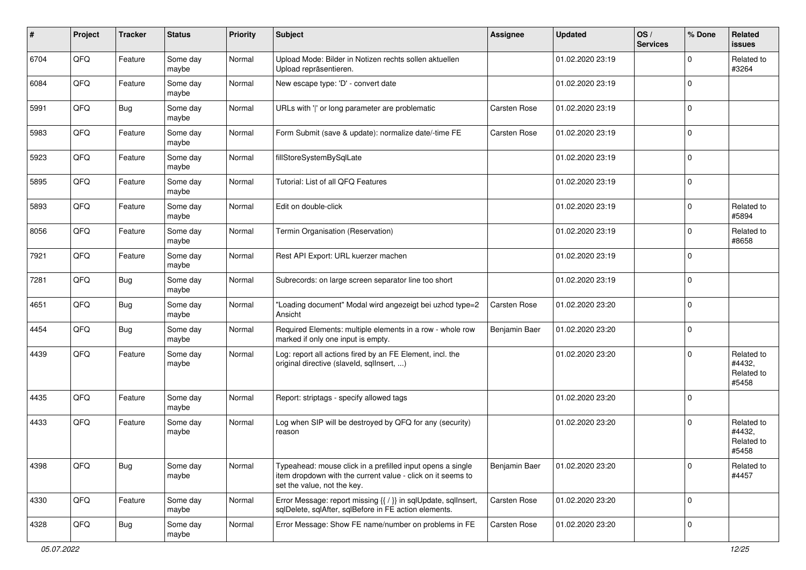| $\sharp$ | Project | <b>Tracker</b> | <b>Status</b>     | <b>Priority</b> | <b>Subject</b>                                                                                                                                           | <b>Assignee</b>     | <b>Updated</b>   | OS/<br><b>Services</b> | % Done         | Related<br>issues                           |
|----------|---------|----------------|-------------------|-----------------|----------------------------------------------------------------------------------------------------------------------------------------------------------|---------------------|------------------|------------------------|----------------|---------------------------------------------|
| 6704     | QFQ     | Feature        | Some day<br>maybe | Normal          | Upload Mode: Bilder in Notizen rechts sollen aktuellen<br>Upload repräsentieren.                                                                         |                     | 01.02.2020 23:19 |                        | $\Omega$       | Related to<br>#3264                         |
| 6084     | QFQ     | Feature        | Some day<br>maybe | Normal          | New escape type: 'D' - convert date                                                                                                                      |                     | 01.02.2020 23:19 |                        | $\mathbf 0$    |                                             |
| 5991     | QFQ     | <b>Bug</b>     | Some day<br>maybe | Normal          | URLs with ' ' or long parameter are problematic                                                                                                          | <b>Carsten Rose</b> | 01.02.2020 23:19 |                        | $\Omega$       |                                             |
| 5983     | QFQ     | Feature        | Some day<br>maybe | Normal          | Form Submit (save & update): normalize date/-time FE                                                                                                     | Carsten Rose        | 01.02.2020 23:19 |                        | $\mathbf 0$    |                                             |
| 5923     | QFQ     | Feature        | Some day<br>maybe | Normal          | fillStoreSystemBySqlLate                                                                                                                                 |                     | 01.02.2020 23:19 |                        | $\mathbf 0$    |                                             |
| 5895     | QFQ     | Feature        | Some day<br>maybe | Normal          | Tutorial: List of all QFQ Features                                                                                                                       |                     | 01.02.2020 23:19 |                        | $\Omega$       |                                             |
| 5893     | QFQ     | Feature        | Some day<br>maybe | Normal          | Edit on double-click                                                                                                                                     |                     | 01.02.2020 23:19 |                        | $\Omega$       | Related to<br>#5894                         |
| 8056     | QFQ     | Feature        | Some day<br>maybe | Normal          | Termin Organisation (Reservation)                                                                                                                        |                     | 01.02.2020 23:19 |                        | $\Omega$       | Related to<br>#8658                         |
| 7921     | QFQ     | Feature        | Some day<br>maybe | Normal          | Rest API Export: URL kuerzer machen                                                                                                                      |                     | 01.02.2020 23:19 |                        | 0              |                                             |
| 7281     | QFQ     | <b>Bug</b>     | Some day<br>maybe | Normal          | Subrecords: on large screen separator line too short                                                                                                     |                     | 01.02.2020 23:19 |                        | $\Omega$       |                                             |
| 4651     | QFQ     | <b>Bug</b>     | Some day<br>maybe | Normal          | "Loading document" Modal wird angezeigt bei uzhcd type=2<br>Ansicht                                                                                      | <b>Carsten Rose</b> | 01.02.2020 23:20 |                        | $\overline{0}$ |                                             |
| 4454     | QFQ     | Bug            | Some day<br>maybe | Normal          | Required Elements: multiple elements in a row - whole row<br>marked if only one input is empty.                                                          | Benjamin Baer       | 01.02.2020 23:20 |                        | $\Omega$       |                                             |
| 4439     | QFQ     | Feature        | Some day<br>maybe | Normal          | Log: report all actions fired by an FE Element, incl. the<br>original directive (slaveld, sqlInsert, )                                                   |                     | 01.02.2020 23:20 |                        | $\Omega$       | Related to<br>#4432,<br>Related to<br>#5458 |
| 4435     | QFQ     | Feature        | Some day<br>maybe | Normal          | Report: striptags - specify allowed tags                                                                                                                 |                     | 01.02.2020 23:20 |                        | $\Omega$       |                                             |
| 4433     | QFQ     | Feature        | Some day<br>maybe | Normal          | Log when SIP will be destroyed by QFQ for any (security)<br>reason                                                                                       |                     | 01.02.2020 23:20 |                        | $\Omega$       | Related to<br>#4432,<br>Related to<br>#5458 |
| 4398     | QFQ     | <b>Bug</b>     | Some day<br>maybe | Normal          | Typeahead: mouse click in a prefilled input opens a single<br>item dropdown with the current value - click on it seems to<br>set the value, not the key. | Benjamin Baer       | 01.02.2020 23:20 |                        | 0              | Related to<br>#4457                         |
| 4330     | QFQ     | Feature        | Some day<br>maybe | Normal          | Error Message: report missing {{ / }} in sqlUpdate, sqlInsert,<br>sqlDelete, sqlAfter, sqlBefore in FE action elements.                                  | Carsten Rose        | 01.02.2020 23:20 |                        | 0              |                                             |
| 4328     | QFQ     | <b>Bug</b>     | Some day<br>maybe | Normal          | Error Message: Show FE name/number on problems in FE                                                                                                     | Carsten Rose        | 01.02.2020 23:20 |                        | 0              |                                             |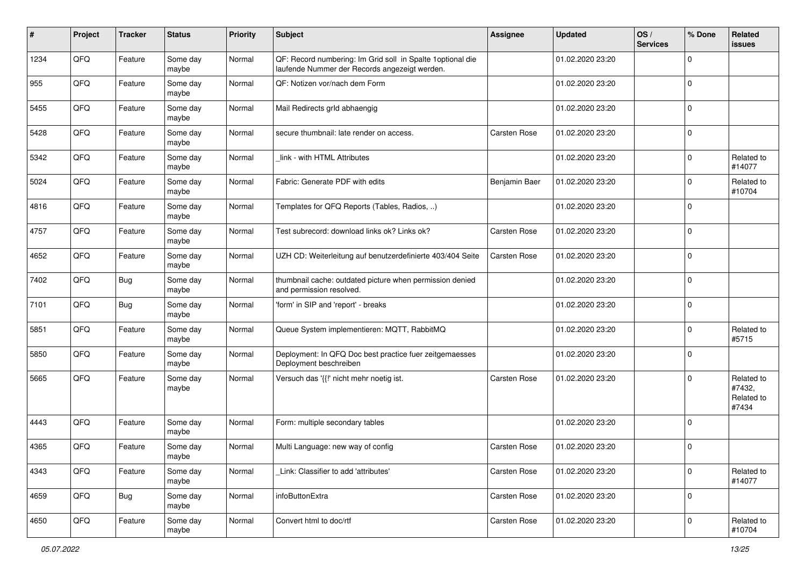| $\sharp$ | Project | <b>Tracker</b> | <b>Status</b>     | <b>Priority</b> | <b>Subject</b>                                                                                               | <b>Assignee</b>     | <b>Updated</b>   | OS/<br><b>Services</b> | % Done      | Related<br><b>issues</b>                    |
|----------|---------|----------------|-------------------|-----------------|--------------------------------------------------------------------------------------------------------------|---------------------|------------------|------------------------|-------------|---------------------------------------------|
| 1234     | QFQ     | Feature        | Some day<br>maybe | Normal          | QF: Record numbering: Im Grid soll in Spalte 1 optional die<br>laufende Nummer der Records angezeigt werden. |                     | 01.02.2020 23:20 |                        | $\Omega$    |                                             |
| 955      | QFQ     | Feature        | Some day<br>maybe | Normal          | QF: Notizen vor/nach dem Form                                                                                |                     | 01.02.2020 23:20 |                        | $\mathbf 0$ |                                             |
| 5455     | QFQ     | Feature        | Some day<br>maybe | Normal          | Mail Redirects grld abhaengig                                                                                |                     | 01.02.2020 23:20 |                        | $\mathbf 0$ |                                             |
| 5428     | QFQ     | Feature        | Some day<br>maybe | Normal          | secure thumbnail: late render on access.                                                                     | <b>Carsten Rose</b> | 01.02.2020 23:20 |                        | $\Omega$    |                                             |
| 5342     | QFQ     | Feature        | Some day<br>maybe | Normal          | link - with HTML Attributes                                                                                  |                     | 01.02.2020 23:20 |                        | $\Omega$    | Related to<br>#14077                        |
| 5024     | QFQ     | Feature        | Some day<br>maybe | Normal          | Fabric: Generate PDF with edits                                                                              | Benjamin Baer       | 01.02.2020 23:20 |                        | $\Omega$    | Related to<br>#10704                        |
| 4816     | QFQ     | Feature        | Some day<br>maybe | Normal          | Templates for QFQ Reports (Tables, Radios, )                                                                 |                     | 01.02.2020 23:20 |                        | $\mathbf 0$ |                                             |
| 4757     | QFQ     | Feature        | Some day<br>maybe | Normal          | Test subrecord: download links ok? Links ok?                                                                 | <b>Carsten Rose</b> | 01.02.2020 23:20 |                        | $\mathbf 0$ |                                             |
| 4652     | QFQ     | Feature        | Some day<br>maybe | Normal          | UZH CD: Weiterleitung auf benutzerdefinierte 403/404 Seite                                                   | <b>Carsten Rose</b> | 01.02.2020 23:20 |                        | $\mathbf 0$ |                                             |
| 7402     | QFQ     | <b>Bug</b>     | Some day<br>maybe | Normal          | thumbnail cache: outdated picture when permission denied<br>and permission resolved.                         |                     | 01.02.2020 23:20 |                        | $\Omega$    |                                             |
| 7101     | QFQ     | <b>Bug</b>     | Some day<br>maybe | Normal          | 'form' in SIP and 'report' - breaks                                                                          |                     | 01.02.2020 23:20 |                        | $\Omega$    |                                             |
| 5851     | QFQ     | Feature        | Some day<br>maybe | Normal          | Queue System implementieren: MQTT, RabbitMQ                                                                  |                     | 01.02.2020 23:20 |                        | $\Omega$    | Related to<br>#5715                         |
| 5850     | QFQ     | Feature        | Some day<br>maybe | Normal          | Deployment: In QFQ Doc best practice fuer zeitgemaesses<br>Deployment beschreiben                            |                     | 01.02.2020 23:20 |                        | $\Omega$    |                                             |
| 5665     | QFQ     | Feature        | Some day<br>maybe | Normal          | Versuch das '{{!' nicht mehr noetig ist.                                                                     | <b>Carsten Rose</b> | 01.02.2020 23:20 |                        | $\Omega$    | Related to<br>#7432,<br>Related to<br>#7434 |
| 4443     | QFQ     | Feature        | Some day<br>maybe | Normal          | Form: multiple secondary tables                                                                              |                     | 01.02.2020 23:20 |                        | $\Omega$    |                                             |
| 4365     | QFQ     | Feature        | Some day<br>maybe | Normal          | Multi Language: new way of config                                                                            | <b>Carsten Rose</b> | 01.02.2020 23:20 |                        | $\Omega$    |                                             |
| 4343     | QFQ     | Feature        | Some day<br>maybe | Normal          | Link: Classifier to add 'attributes'                                                                         | Carsten Rose        | 01.02.2020 23:20 |                        | $\mathbf 0$ | Related to<br>#14077                        |
| 4659     | QFQ     | Bug            | Some day<br>maybe | Normal          | infoButtonExtra                                                                                              | Carsten Rose        | 01.02.2020 23:20 |                        | 0           |                                             |
| 4650     | QFQ     | Feature        | Some day<br>maybe | Normal          | Convert html to doc/rtf                                                                                      | Carsten Rose        | 01.02.2020 23:20 |                        | $\Omega$    | Related to<br>#10704                        |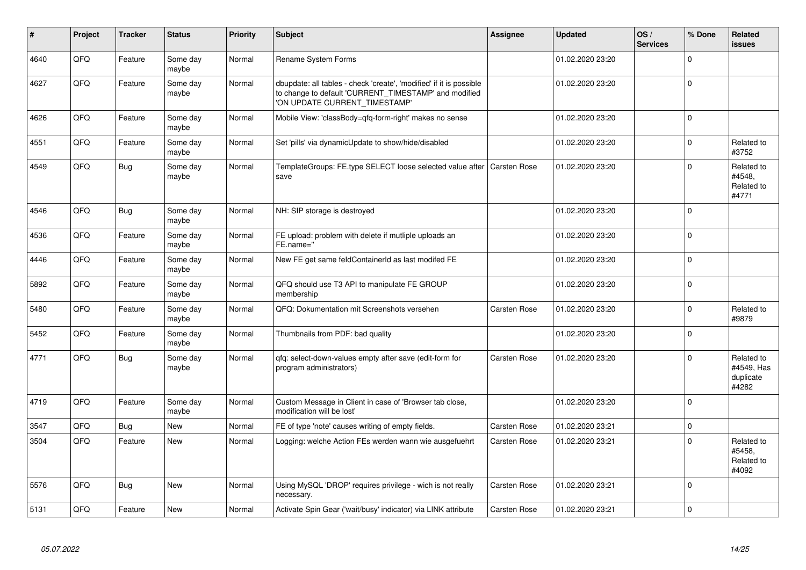| #    | Project | <b>Tracker</b> | <b>Status</b>     | <b>Priority</b> | <b>Subject</b>                                                                                                                                                | Assignee            | <b>Updated</b>   | OS/<br><b>Services</b> | % Done      | Related<br><b>issues</b>                       |
|------|---------|----------------|-------------------|-----------------|---------------------------------------------------------------------------------------------------------------------------------------------------------------|---------------------|------------------|------------------------|-------------|------------------------------------------------|
| 4640 | QFQ     | Feature        | Some day<br>maybe | Normal          | Rename System Forms                                                                                                                                           |                     | 01.02.2020 23:20 |                        | $\Omega$    |                                                |
| 4627 | QFQ     | Feature        | Some day<br>maybe | Normal          | dbupdate: all tables - check 'create', 'modified' if it is possible<br>to change to default 'CURRENT_TIMESTAMP' and modified<br>'ON UPDATE CURRENT_TIMESTAMP' |                     | 01.02.2020 23:20 |                        | $\Omega$    |                                                |
| 4626 | QFQ     | Feature        | Some day<br>maybe | Normal          | Mobile View: 'classBody=qfq-form-right' makes no sense                                                                                                        |                     | 01.02.2020 23:20 |                        | ١o          |                                                |
| 4551 | QFQ     | Feature        | Some day<br>maybe | Normal          | Set 'pills' via dynamicUpdate to show/hide/disabled                                                                                                           |                     | 01.02.2020 23:20 |                        | $\Omega$    | Related to<br>#3752                            |
| 4549 | QFQ     | Bug            | Some day<br>maybe | Normal          | TemplateGroups: FE.type SELECT loose selected value after<br>save                                                                                             | <b>Carsten Rose</b> | 01.02.2020 23:20 |                        | $\Omega$    | Related to<br>#4548.<br>Related to<br>#4771    |
| 4546 | QFQ     | <b>Bug</b>     | Some day<br>maybe | Normal          | NH: SIP storage is destroyed                                                                                                                                  |                     | 01.02.2020 23:20 |                        | $\Omega$    |                                                |
| 4536 | QFQ     | Feature        | Some day<br>maybe | Normal          | FE upload: problem with delete if mutliple uploads an<br>FE.name="                                                                                            |                     | 01.02.2020 23:20 |                        | $\Omega$    |                                                |
| 4446 | QFQ     | Feature        | Some day<br>maybe | Normal          | New FE get same feldContainerId as last modifed FE                                                                                                            |                     | 01.02.2020 23:20 |                        | $\mathbf 0$ |                                                |
| 5892 | QFQ     | Feature        | Some day<br>maybe | Normal          | QFQ should use T3 API to manipulate FE GROUP<br>membership                                                                                                    |                     | 01.02.2020 23:20 |                        | $\Omega$    |                                                |
| 5480 | QFQ     | Feature        | Some day<br>maybe | Normal          | QFQ: Dokumentation mit Screenshots versehen                                                                                                                   | Carsten Rose        | 01.02.2020 23:20 |                        | $\Omega$    | Related to<br>#9879                            |
| 5452 | QFQ     | Feature        | Some day<br>maybe | Normal          | Thumbnails from PDF: bad quality                                                                                                                              |                     | 01.02.2020 23:20 |                        | $\Omega$    |                                                |
| 4771 | QFQ     | <b>Bug</b>     | Some day<br>maybe | Normal          | qfq: select-down-values empty after save (edit-form for<br>program administrators)                                                                            | Carsten Rose        | 01.02.2020 23:20 |                        | $\Omega$    | Related to<br>#4549, Has<br>duplicate<br>#4282 |
| 4719 | QFQ     | Feature        | Some day<br>maybe | Normal          | Custom Message in Client in case of 'Browser tab close,<br>modification will be lost'                                                                         |                     | 01.02.2020 23:20 |                        | $\Omega$    |                                                |
| 3547 | QFQ     | <b>Bug</b>     | <b>New</b>        | Normal          | FE of type 'note' causes writing of empty fields.                                                                                                             | <b>Carsten Rose</b> | 01.02.2020 23:21 |                        | $\Omega$    |                                                |
| 3504 | QFQ     | Feature        | New               | Normal          | Logging: welche Action FEs werden wann wie ausgefuehrt                                                                                                        | Carsten Rose        | 01.02.2020 23:21 |                        | $\Omega$    | Related to<br>#5458,<br>Related to<br>#4092    |
| 5576 | QFQ     | Bug            | <b>New</b>        | Normal          | Using MySQL 'DROP' requires privilege - wich is not really<br>necessary.                                                                                      | <b>Carsten Rose</b> | 01.02.2020 23:21 |                        | $\mathbf 0$ |                                                |
| 5131 | QFQ     | Feature        | <b>New</b>        | Normal          | Activate Spin Gear ('wait/busy' indicator) via LINK attribute                                                                                                 | <b>Carsten Rose</b> | 01.02.2020 23:21 |                        | $\Omega$    |                                                |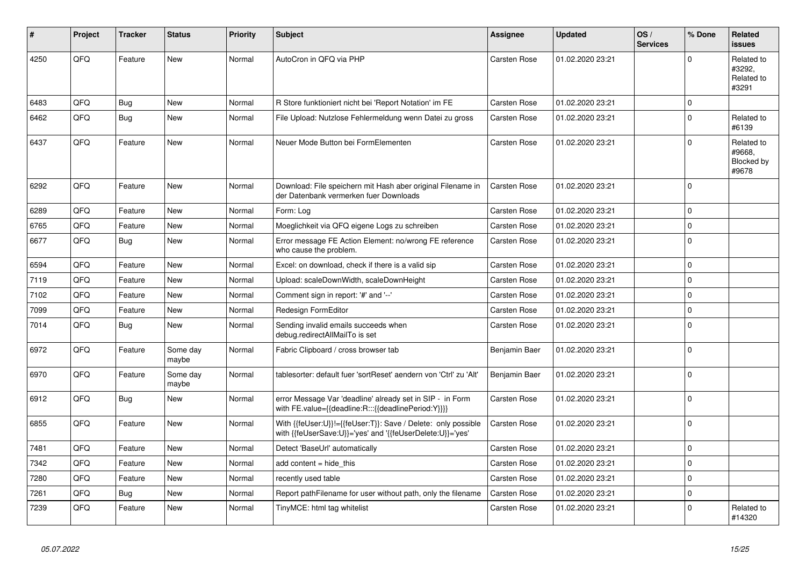| #    | Project | <b>Tracker</b> | <b>Status</b>     | <b>Priority</b> | <b>Subject</b>                                                                                                             | Assignee            | <b>Updated</b>   | OS/<br><b>Services</b> | % Done         | Related<br><b>issues</b>                    |
|------|---------|----------------|-------------------|-----------------|----------------------------------------------------------------------------------------------------------------------------|---------------------|------------------|------------------------|----------------|---------------------------------------------|
| 4250 | QFQ     | Feature        | <b>New</b>        | Normal          | AutoCron in QFQ via PHP                                                                                                    | <b>Carsten Rose</b> | 01.02.2020 23:21 |                        | $\Omega$       | Related to<br>#3292,<br>Related to<br>#3291 |
| 6483 | QFQ     | <b>Bug</b>     | <b>New</b>        | Normal          | R Store funktioniert nicht bei 'Report Notation' im FE                                                                     | <b>Carsten Rose</b> | 01.02.2020 23:21 |                        | $\Omega$       |                                             |
| 6462 | QFQ     | <b>Bug</b>     | New               | Normal          | File Upload: Nutzlose Fehlermeldung wenn Datei zu gross                                                                    | Carsten Rose        | 01.02.2020 23:21 |                        | $\Omega$       | Related to<br>#6139                         |
| 6437 | QFQ     | Feature        | <b>New</b>        | Normal          | Neuer Mode Button bei FormElementen                                                                                        | Carsten Rose        | 01.02.2020 23:21 |                        | $\Omega$       | Related to<br>#9668,<br>Blocked by<br>#9678 |
| 6292 | QFQ     | Feature        | <b>New</b>        | Normal          | Download: File speichern mit Hash aber original Filename in<br>der Datenbank vermerken fuer Downloads                      | <b>Carsten Rose</b> | 01.02.2020 23:21 |                        | $\Omega$       |                                             |
| 6289 | QFQ     | Feature        | New               | Normal          | Form: Log                                                                                                                  | <b>Carsten Rose</b> | 01.02.2020 23:21 |                        | $\Omega$       |                                             |
| 6765 | QFQ     | Feature        | <b>New</b>        | Normal          | Moeglichkeit via QFQ eigene Logs zu schreiben                                                                              | <b>Carsten Rose</b> | 01.02.2020 23:21 |                        | $\Omega$       |                                             |
| 6677 | QFQ     | <b>Bug</b>     | New               | Normal          | Error message FE Action Element: no/wrong FE reference<br>who cause the problem.                                           | Carsten Rose        | 01.02.2020 23:21 |                        | $\Omega$       |                                             |
| 6594 | QFQ     | Feature        | <b>New</b>        | Normal          | Excel: on download, check if there is a valid sip                                                                          | <b>Carsten Rose</b> | 01.02.2020 23:21 |                        | 0              |                                             |
| 7119 | QFQ     | Feature        | New               | Normal          | Upload: scaleDownWidth, scaleDownHeight                                                                                    | Carsten Rose        | 01.02.2020 23:21 |                        | $\Omega$       |                                             |
| 7102 | QFQ     | Feature        | <b>New</b>        | Normal          | Comment sign in report: '#' and '--'                                                                                       | <b>Carsten Rose</b> | 01.02.2020 23:21 |                        | $\Omega$       |                                             |
| 7099 | QFQ     | Feature        | <b>New</b>        | Normal          | Redesign FormEditor                                                                                                        | <b>Carsten Rose</b> | 01.02.2020 23:21 |                        | $\Omega$       |                                             |
| 7014 | QFQ     | <b>Bug</b>     | New               | Normal          | Sending invalid emails succeeds when<br>debug.redirectAllMailTo is set                                                     | <b>Carsten Rose</b> | 01.02.2020 23:21 |                        | $\Omega$       |                                             |
| 6972 | QFQ     | Feature        | Some day<br>maybe | Normal          | Fabric Clipboard / cross browser tab                                                                                       | Benjamin Baer       | 01.02.2020 23:21 |                        | $\Omega$       |                                             |
| 6970 | QFQ     | Feature        | Some day<br>maybe | Normal          | tablesorter: default fuer 'sortReset' aendern von 'Ctrl' zu 'Alt'                                                          | Benjamin Baer       | 01.02.2020 23:21 |                        | $\Omega$       |                                             |
| 6912 | QFQ     | <b>Bug</b>     | <b>New</b>        | Normal          | error Message Var 'deadline' already set in SIP - in Form<br>with FE.value={{deadline:R:::{{deadlinePeriod:Y}}}}           | Carsten Rose        | 01.02.2020 23:21 |                        | $\Omega$       |                                             |
| 6855 | QFQ     | Feature        | New               | Normal          | With {{feUser:U}}!={{feUser:T}}: Save / Delete: only possible<br>with {{feUserSave:U}}='yes' and '{{feUserDelete:U}}='yes' | Carsten Rose        | 01.02.2020 23:21 |                        | $\overline{0}$ |                                             |
| 7481 | QFQ     | Feature        | <b>New</b>        | Normal          | Detect 'BaseUrl' automatically                                                                                             | <b>Carsten Rose</b> | 01.02.2020 23:21 |                        | $\mathbf 0$    |                                             |
| 7342 | QFQ     | Feature        | New               | Normal          | add content = hide this                                                                                                    | <b>Carsten Rose</b> | 01.02.2020 23:21 |                        | $\mathbf 0$    |                                             |
| 7280 | QFQ     | Feature        | New               | Normal          | recently used table                                                                                                        | <b>Carsten Rose</b> | 01.02.2020 23:21 |                        | $\Omega$       |                                             |
| 7261 | QFQ     | <b>Bug</b>     | <b>New</b>        | Normal          | Report pathFilename for user without path, only the filename                                                               | <b>Carsten Rose</b> | 01.02.2020 23:21 |                        | $\Omega$       |                                             |
| 7239 | QFQ     | Feature        | <b>New</b>        | Normal          | TinyMCE: html tag whitelist                                                                                                | <b>Carsten Rose</b> | 01.02.2020 23:21 |                        | $\Omega$       | Related to<br>#14320                        |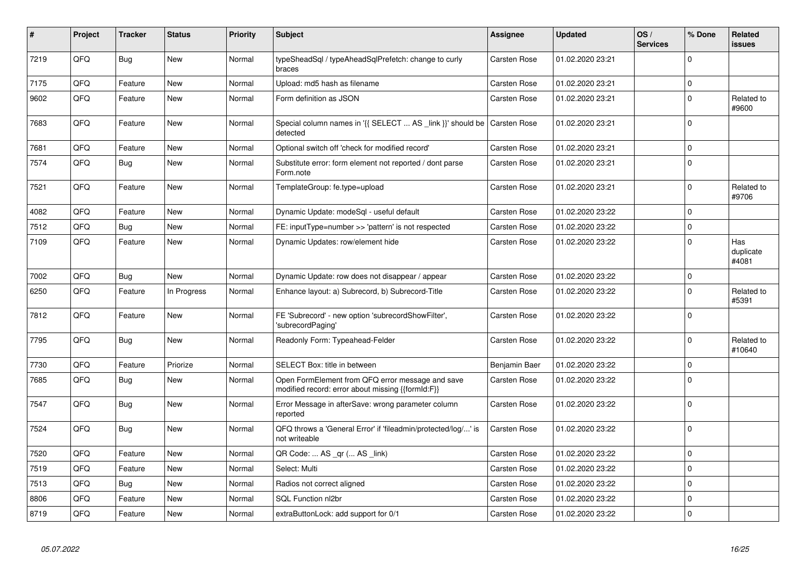| #    | Project | <b>Tracker</b> | <b>Status</b> | <b>Priority</b> | <b>Subject</b>                                                                                        | Assignee            | <b>Updated</b>   | OS/<br><b>Services</b> | % Done         | Related<br>issues         |
|------|---------|----------------|---------------|-----------------|-------------------------------------------------------------------------------------------------------|---------------------|------------------|------------------------|----------------|---------------------------|
| 7219 | QFQ     | <b>Bug</b>     | New           | Normal          | typeSheadSql / typeAheadSqlPrefetch: change to curly<br>braces                                        | <b>Carsten Rose</b> | 01.02.2020 23:21 |                        | $\Omega$       |                           |
| 7175 | QFQ     | Feature        | New           | Normal          | Upload: md5 hash as filename                                                                          | <b>Carsten Rose</b> | 01.02.2020 23:21 |                        | 0              |                           |
| 9602 | QFQ     | Feature        | <b>New</b>    | Normal          | Form definition as JSON                                                                               | Carsten Rose        | 01.02.2020 23:21 |                        | 0              | Related to<br>#9600       |
| 7683 | QFQ     | Feature        | <b>New</b>    | Normal          | Special column names in '{{ SELECT  AS _link }}' should be Carsten Rose<br>detected                   |                     | 01.02.2020 23:21 |                        | $\overline{0}$ |                           |
| 7681 | QFQ     | Feature        | <b>New</b>    | Normal          | Optional switch off 'check for modified record'                                                       | <b>Carsten Rose</b> | 01.02.2020 23:21 |                        | $\mathbf 0$    |                           |
| 7574 | QFQ     | <b>Bug</b>     | <b>New</b>    | Normal          | Substitute error: form element not reported / dont parse<br>Form.note                                 | Carsten Rose        | 01.02.2020 23:21 |                        | $\Omega$       |                           |
| 7521 | QFQ     | Feature        | <b>New</b>    | Normal          | TemplateGroup: fe.type=upload                                                                         | Carsten Rose        | 01.02.2020 23:21 |                        | $\mathbf 0$    | Related to<br>#9706       |
| 4082 | QFQ     | Feature        | New           | Normal          | Dynamic Update: modeSgl - useful default                                                              | <b>Carsten Rose</b> | 01.02.2020 23:22 |                        | $\mathbf 0$    |                           |
| 7512 | QFQ     | <b>Bug</b>     | New           | Normal          | FE: inputType=number >> 'pattern' is not respected                                                    | <b>Carsten Rose</b> | 01.02.2020 23:22 |                        | 0              |                           |
| 7109 | QFQ     | Feature        | <b>New</b>    | Normal          | Dynamic Updates: row/element hide                                                                     | Carsten Rose        | 01.02.2020 23:22 |                        | $\mathbf 0$    | Has<br>duplicate<br>#4081 |
| 7002 | QFQ     | <b>Bug</b>     | <b>New</b>    | Normal          | Dynamic Update: row does not disappear / appear                                                       | <b>Carsten Rose</b> | 01.02.2020 23:22 |                        | $\overline{0}$ |                           |
| 6250 | QFQ     | Feature        | In Progress   | Normal          | Enhance layout: a) Subrecord, b) Subrecord-Title                                                      | <b>Carsten Rose</b> | 01.02.2020 23:22 |                        | 0              | Related to<br>#5391       |
| 7812 | QFQ     | Feature        | New           | Normal          | FE 'Subrecord' - new option 'subrecordShowFilter',<br>'subrecordPaging'                               | Carsten Rose        | 01.02.2020 23:22 |                        | $\mathbf 0$    |                           |
| 7795 | QFQ     | Bug            | New           | Normal          | Readonly Form: Typeahead-Felder                                                                       | Carsten Rose        | 01.02.2020 23:22 |                        | $\mathbf 0$    | Related to<br>#10640      |
| 7730 | QFQ     | Feature        | Priorize      | Normal          | SELECT Box: title in between                                                                          | Benjamin Baer       | 01.02.2020 23:22 |                        | $\mathbf 0$    |                           |
| 7685 | QFQ     | Bug            | New           | Normal          | Open FormElement from QFQ error message and save<br>modified record: error about missing {{formId:F}} | Carsten Rose        | 01.02.2020 23:22 |                        | $\Omega$       |                           |
| 7547 | QFQ     | Bug            | New           | Normal          | Error Message in afterSave: wrong parameter column<br>reported                                        | Carsten Rose        | 01.02.2020 23:22 |                        | $\Omega$       |                           |
| 7524 | QFQ     | Bug            | <b>New</b>    | Normal          | QFQ throws a 'General Error' if 'fileadmin/protected/log/' is<br>not writeable                        | <b>Carsten Rose</b> | 01.02.2020 23:22 |                        | 0              |                           |
| 7520 | QFQ     | Feature        | <b>New</b>    | Normal          | QR Code:  AS _qr ( AS _link)                                                                          | <b>Carsten Rose</b> | 01.02.2020 23:22 |                        | 0              |                           |
| 7519 | QFQ     | Feature        | <b>New</b>    | Normal          | Select: Multi                                                                                         | <b>Carsten Rose</b> | 01.02.2020 23:22 |                        | $\Omega$       |                           |
| 7513 | QFQ     | Bug            | New           | Normal          | Radios not correct aligned                                                                            | Carsten Rose        | 01.02.2020 23:22 |                        | $\mathbf 0$    |                           |
| 8806 | QFQ     | Feature        | New           | Normal          | SQL Function nl2br                                                                                    | Carsten Rose        | 01.02.2020 23:22 |                        | 0              |                           |
| 8719 | QFQ     | Feature        | New           | Normal          | extraButtonLock: add support for 0/1                                                                  | Carsten Rose        | 01.02.2020 23:22 |                        | $\mathbf 0$    |                           |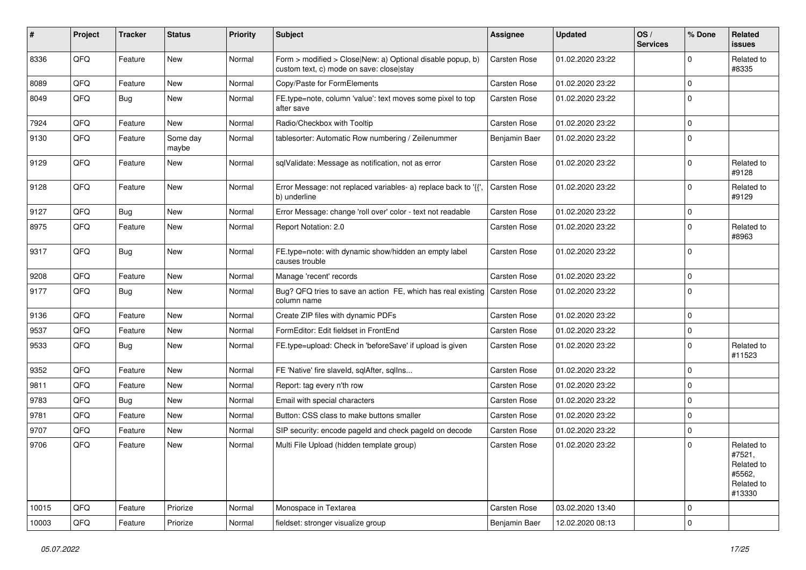| #     | Project        | <b>Tracker</b> | <b>Status</b>     | <b>Priority</b> | Subject                                                                                                | Assignee            | <b>Updated</b>   | OS/<br><b>Services</b> | % Done      | Related<br>issues                                                    |
|-------|----------------|----------------|-------------------|-----------------|--------------------------------------------------------------------------------------------------------|---------------------|------------------|------------------------|-------------|----------------------------------------------------------------------|
| 8336  | QFQ            | Feature        | <b>New</b>        | Normal          | Form > modified > Close New: a) Optional disable popup, b)<br>custom text, c) mode on save: close stay | <b>Carsten Rose</b> | 01.02.2020 23:22 |                        | $\Omega$    | Related to<br>#8335                                                  |
| 8089  | QFQ            | Feature        | New               | Normal          | Copy/Paste for FormElements                                                                            | Carsten Rose        | 01.02.2020 23:22 |                        | 0           |                                                                      |
| 8049  | QFQ            | Bug            | New               | Normal          | FE.type=note, column 'value': text moves some pixel to top<br>after save                               | Carsten Rose        | 01.02.2020 23:22 |                        | $\Omega$    |                                                                      |
| 7924  | QFQ            | Feature        | New               | Normal          | Radio/Checkbox with Tooltip                                                                            | <b>Carsten Rose</b> | 01.02.2020 23:22 |                        | $\mathbf 0$ |                                                                      |
| 9130  | QFQ            | Feature        | Some day<br>maybe | Normal          | tablesorter: Automatic Row numbering / Zeilenummer                                                     | Benjamin Baer       | 01.02.2020 23:22 |                        | $\mathbf 0$ |                                                                      |
| 9129  | QFQ            | Feature        | New               | Normal          | sqlValidate: Message as notification, not as error                                                     | Carsten Rose        | 01.02.2020 23:22 |                        | $\mathbf 0$ | Related to<br>#9128                                                  |
| 9128  | QFQ            | Feature        | New               | Normal          | Error Message: not replaced variables- a) replace back to '{{'<br>b) underline                         | <b>Carsten Rose</b> | 01.02.2020 23:22 |                        | $\Omega$    | Related to<br>#9129                                                  |
| 9127  | QFQ            | <b>Bug</b>     | New               | Normal          | Error Message: change 'roll over' color - text not readable                                            | <b>Carsten Rose</b> | 01.02.2020 23:22 |                        | $\mathbf 0$ |                                                                      |
| 8975  | QFQ            | Feature        | New               | Normal          | Report Notation: 2.0                                                                                   | Carsten Rose        | 01.02.2020 23:22 |                        | $\Omega$    | Related to<br>#8963                                                  |
| 9317  | QFQ            | <b>Bug</b>     | New               | Normal          | FE.type=note: with dynamic show/hidden an empty label<br>causes trouble                                | Carsten Rose        | 01.02.2020 23:22 |                        | $\Omega$    |                                                                      |
| 9208  | QFQ            | Feature        | New               | Normal          | Manage 'recent' records                                                                                | <b>Carsten Rose</b> | 01.02.2020 23:22 |                        | $\mathbf 0$ |                                                                      |
| 9177  | QFQ            | <b>Bug</b>     | New               | Normal          | Bug? QFQ tries to save an action FE, which has real existing   Carsten Rose<br>column name             |                     | 01.02.2020 23:22 |                        | $\Omega$    |                                                                      |
| 9136  | QFQ            | Feature        | New               | Normal          | Create ZIP files with dynamic PDFs                                                                     | Carsten Rose        | 01.02.2020 23:22 |                        | $\mathbf 0$ |                                                                      |
| 9537  | QFQ            | Feature        | New               | Normal          | FormEditor: Edit fieldset in FrontEnd                                                                  | Carsten Rose        | 01.02.2020 23:22 |                        | $\mathbf 0$ |                                                                      |
| 9533  | QFQ            | Bug            | New               | Normal          | FE.type=upload: Check in 'beforeSave' if upload is given                                               | Carsten Rose        | 01.02.2020 23:22 |                        | $\Omega$    | Related to<br>#11523                                                 |
| 9352  | QFQ            | Feature        | New               | Normal          | FE 'Native' fire slaveld, sqlAfter, sqlIns                                                             | Carsten Rose        | 01.02.2020 23:22 |                        | $\mathbf 0$ |                                                                      |
| 9811  | QFQ            | Feature        | New               | Normal          | Report: tag every n'th row                                                                             | Carsten Rose        | 01.02.2020 23:22 |                        | $\mathbf 0$ |                                                                      |
| 9783  | QFQ            | <b>Bug</b>     | New               | Normal          | Email with special characters                                                                          | Carsten Rose        | 01.02.2020 23:22 |                        | $\Omega$    |                                                                      |
| 9781  | QFQ            | Feature        | New               | Normal          | Button: CSS class to make buttons smaller                                                              | Carsten Rose        | 01.02.2020 23:22 |                        | $\mathbf 0$ |                                                                      |
| 9707  | QFQ            | Feature        | New               | Normal          | SIP security: encode pageld and check pageld on decode                                                 | Carsten Rose        | 01.02.2020 23:22 |                        | $\mathbf 0$ |                                                                      |
| 9706  | QFQ            | Feature        | New               | Normal          | Multi File Upload (hidden template group)                                                              | Carsten Rose        | 01.02.2020 23:22 |                        | $\Omega$    | Related to<br>#7521,<br>Related to<br>#5562,<br>Related to<br>#13330 |
| 10015 | QFG            | Feature        | Priorize          | Normal          | Monospace in Textarea                                                                                  | Carsten Rose        | 03.02.2020 13:40 |                        | 0           |                                                                      |
| 10003 | $\mathsf{QFQ}$ | Feature        | Priorize          | Normal          | fieldset: stronger visualize group                                                                     | Benjamin Baer       | 12.02.2020 08:13 |                        | 0           |                                                                      |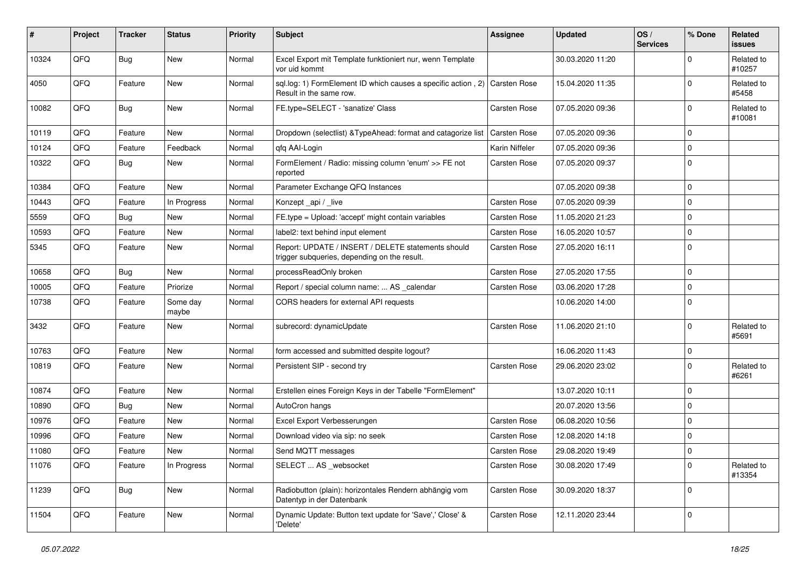| #     | Project | <b>Tracker</b> | <b>Status</b>     | <b>Priority</b> | Subject                                                                                               | Assignee            | <b>Updated</b>   | OS/<br><b>Services</b> | % Done      | Related<br>issues    |
|-------|---------|----------------|-------------------|-----------------|-------------------------------------------------------------------------------------------------------|---------------------|------------------|------------------------|-------------|----------------------|
| 10324 | QFQ     | Bug            | <b>New</b>        | Normal          | Excel Export mit Template funktioniert nur, wenn Template<br>vor uid kommt                            |                     | 30.03.2020 11:20 |                        | $\Omega$    | Related to<br>#10257 |
| 4050  | QFQ     | Feature        | New               | Normal          | sql.log: 1) FormElement ID which causes a specific action, 2) Carsten Rose<br>Result in the same row. |                     | 15.04.2020 11:35 |                        | $\Omega$    | Related to<br>#5458  |
| 10082 | QFQ     | Bug            | New               | Normal          | FE.type=SELECT - 'sanatize' Class                                                                     | Carsten Rose        | 07.05.2020 09:36 |                        | $\Omega$    | Related to<br>#10081 |
| 10119 | QFQ     | Feature        | <b>New</b>        | Normal          | Dropdown (selectlist) & TypeAhead: format and catagorize list                                         | <b>Carsten Rose</b> | 07.05.2020 09:36 |                        | $\mathbf 0$ |                      |
| 10124 | QFQ     | Feature        | Feedback          | Normal          | gfg AAI-Login                                                                                         | Karin Niffeler      | 07.05.2020 09:36 |                        | $\Omega$    |                      |
| 10322 | QFQ     | <b>Bug</b>     | New               | Normal          | FormElement / Radio: missing column 'enum' >> FE not<br>reported                                      | Carsten Rose        | 07.05.2020 09:37 |                        | 0           |                      |
| 10384 | QFQ     | Feature        | New               | Normal          | Parameter Exchange QFQ Instances                                                                      |                     | 07.05.2020 09:38 |                        | $\mathbf 0$ |                      |
| 10443 | QFQ     | Feature        | In Progress       | Normal          | Konzept_api / _live                                                                                   | <b>Carsten Rose</b> | 07.05.2020 09:39 |                        | 0           |                      |
| 5559  | QFQ     | Bug            | New               | Normal          | FE.type = Upload: 'accept' might contain variables                                                    | <b>Carsten Rose</b> | 11.05.2020 21:23 |                        | $\mathbf 0$ |                      |
| 10593 | QFQ     | Feature        | New               | Normal          | label2: text behind input element                                                                     | Carsten Rose        | 16.05.2020 10:57 |                        | $\mathbf 0$ |                      |
| 5345  | QFQ     | Feature        | New               | Normal          | Report: UPDATE / INSERT / DELETE statements should<br>trigger subqueries, depending on the result.    | Carsten Rose        | 27.05.2020 16:11 |                        | 0           |                      |
| 10658 | QFQ     | <b>Bug</b>     | <b>New</b>        | Normal          | processReadOnly broken                                                                                | <b>Carsten Rose</b> | 27.05.2020 17:55 |                        | $\mathbf 0$ |                      |
| 10005 | QFQ     | Feature        | Priorize          | Normal          | Report / special column name:  AS _calendar                                                           | Carsten Rose        | 03.06.2020 17:28 |                        | $\Omega$    |                      |
| 10738 | QFQ     | Feature        | Some day<br>maybe | Normal          | CORS headers for external API requests                                                                |                     | 10.06.2020 14:00 |                        | $\Omega$    |                      |
| 3432  | QFQ     | Feature        | New               | Normal          | subrecord: dynamicUpdate                                                                              | Carsten Rose        | 11.06.2020 21:10 |                        | $\Omega$    | Related to<br>#5691  |
| 10763 | QFQ     | Feature        | <b>New</b>        | Normal          | form accessed and submitted despite logout?                                                           |                     | 16.06.2020 11:43 |                        | $\mathbf 0$ |                      |
| 10819 | QFQ     | Feature        | New               | Normal          | Persistent SIP - second try                                                                           | Carsten Rose        | 29.06.2020 23:02 |                        | $\Omega$    | Related to<br>#6261  |
| 10874 | QFQ     | Feature        | New               | Normal          | Erstellen eines Foreign Keys in der Tabelle "FormElement"                                             |                     | 13.07.2020 10:11 |                        | 0           |                      |
| 10890 | QFQ     | <b>Bug</b>     | New               | Normal          | AutoCron hangs                                                                                        |                     | 20.07.2020 13:56 |                        | $\mathbf 0$ |                      |
| 10976 | QFQ     | Feature        | New               | Normal          | Excel Export Verbesserungen                                                                           | Carsten Rose        | 06.08.2020 10:56 |                        | 0           |                      |
| 10996 | QFQ     | Feature        | New               | Normal          | Download video via sip: no seek                                                                       | Carsten Rose        | 12.08.2020 14:18 |                        | $\mathbf 0$ |                      |
| 11080 | QFQ     | Feature        | New               | Normal          | Send MQTT messages                                                                                    | <b>Carsten Rose</b> | 29.08.2020 19:49 |                        | 0 I         |                      |
| 11076 | QFQ     | Feature        | In Progress       | Normal          | SELECT  AS _websocket                                                                                 | Carsten Rose        | 30.08.2020 17:49 |                        | 0           | Related to<br>#13354 |
| 11239 | QFG     | Bug            | New               | Normal          | Radiobutton (plain): horizontales Rendern abhängig vom<br>Datentyp in der Datenbank                   | Carsten Rose        | 30.09.2020 18:37 |                        | 0           |                      |
| 11504 | QFQ     | Feature        | New               | Normal          | Dynamic Update: Button text update for 'Save',' Close' &<br>'Delete'                                  | Carsten Rose        | 12.11.2020 23:44 |                        | $\mathbf 0$ |                      |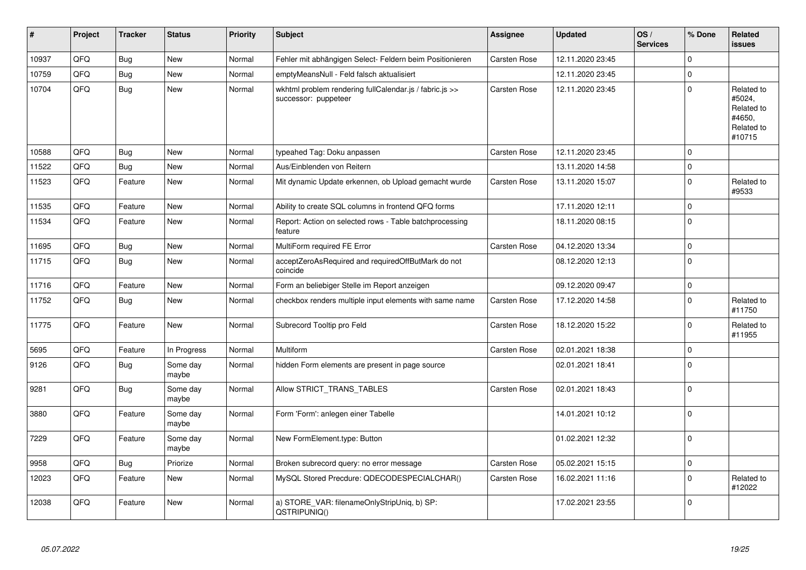| #     | Project | <b>Tracker</b> | <b>Status</b>     | <b>Priority</b> | <b>Subject</b>                                                                  | Assignee            | <b>Updated</b>   | OS/<br><b>Services</b> | % Done      | Related<br>issues                                                    |
|-------|---------|----------------|-------------------|-----------------|---------------------------------------------------------------------------------|---------------------|------------------|------------------------|-------------|----------------------------------------------------------------------|
| 10937 | QFQ     | <b>Bug</b>     | <b>New</b>        | Normal          | Fehler mit abhängigen Select- Feldern beim Positionieren                        | <b>Carsten Rose</b> | 12.11.2020 23:45 |                        | $\mathbf 0$ |                                                                      |
| 10759 | QFQ     | <b>Bug</b>     | New               | Normal          | emptyMeansNull - Feld falsch aktualisiert                                       |                     | 12.11.2020 23:45 |                        | $\Omega$    |                                                                      |
| 10704 | QFQ     | Bug            | New               | Normal          | wkhtml problem rendering fullCalendar.js / fabric.js >><br>successor: puppeteer | <b>Carsten Rose</b> | 12.11.2020 23:45 |                        | $\Omega$    | Related to<br>#5024,<br>Related to<br>#4650,<br>Related to<br>#10715 |
| 10588 | QFQ     | Bug            | New               | Normal          | typeahed Tag: Doku anpassen                                                     | Carsten Rose        | 12.11.2020 23:45 |                        | $\Omega$    |                                                                      |
| 11522 | QFQ     | Bug            | New               | Normal          | Aus/Einblenden von Reitern                                                      |                     | 13.11.2020 14:58 |                        | $\mathbf 0$ |                                                                      |
| 11523 | QFQ     | Feature        | <b>New</b>        | Normal          | Mit dynamic Update erkennen, ob Upload gemacht wurde                            | <b>Carsten Rose</b> | 13.11.2020 15:07 |                        | $\mathbf 0$ | Related to<br>#9533                                                  |
| 11535 | QFQ     | Feature        | New               | Normal          | Ability to create SQL columns in frontend QFQ forms                             |                     | 17.11.2020 12:11 |                        | $\Omega$    |                                                                      |
| 11534 | QFQ     | Feature        | New               | Normal          | Report: Action on selected rows - Table batchprocessing<br>feature              |                     | 18.11.2020 08:15 |                        | $\Omega$    |                                                                      |
| 11695 | QFQ     | <b>Bug</b>     | <b>New</b>        | Normal          | MultiForm required FE Error                                                     | <b>Carsten Rose</b> | 04.12.2020 13:34 |                        | $\mathbf 0$ |                                                                      |
| 11715 | QFQ     | Bug            | New               | Normal          | acceptZeroAsRequired and requiredOffButMark do not<br>coincide                  |                     | 08.12.2020 12:13 |                        | $\Omega$    |                                                                      |
| 11716 | QFQ     | Feature        | New               | Normal          | Form an beliebiger Stelle im Report anzeigen                                    |                     | 09.12.2020 09:47 |                        | $\pmb{0}$   |                                                                      |
| 11752 | QFQ     | Bug            | New               | Normal          | checkbox renders multiple input elements with same name                         | Carsten Rose        | 17.12.2020 14:58 |                        | $\mathbf 0$ | Related to<br>#11750                                                 |
| 11775 | QFQ     | Feature        | New               | Normal          | Subrecord Tooltip pro Feld                                                      | Carsten Rose        | 18.12.2020 15:22 |                        | $\Omega$    | Related to<br>#11955                                                 |
| 5695  | QFQ     | Feature        | In Progress       | Normal          | Multiform                                                                       | <b>Carsten Rose</b> | 02.01.2021 18:38 |                        | $\mathbf 0$ |                                                                      |
| 9126  | QFQ     | <b>Bug</b>     | Some day<br>maybe | Normal          | hidden Form elements are present in page source                                 |                     | 02.01.2021 18:41 |                        | $\Omega$    |                                                                      |
| 9281  | QFQ     | <b>Bug</b>     | Some day<br>maybe | Normal          | Allow STRICT_TRANS_TABLES                                                       | <b>Carsten Rose</b> | 02.01.2021 18:43 |                        | $\Omega$    |                                                                      |
| 3880  | QFQ     | Feature        | Some day<br>maybe | Normal          | Form 'Form': anlegen einer Tabelle                                              |                     | 14.01.2021 10:12 |                        | $\Omega$    |                                                                      |
| 7229  | QFQ     | Feature        | Some day<br>maybe | Normal          | New FormElement.type: Button                                                    |                     | 01.02.2021 12:32 |                        | $\Omega$    |                                                                      |
| 9958  | QFQ     | <b>Bug</b>     | Priorize          | Normal          | Broken subrecord query: no error message                                        | Carsten Rose        | 05.02.2021 15:15 |                        | $\mathbf 0$ |                                                                      |
| 12023 | QFQ     | Feature        | <b>New</b>        | Normal          | MySQL Stored Precdure: QDECODESPECIALCHAR()                                     | <b>Carsten Rose</b> | 16.02.2021 11:16 |                        | $\mathbf 0$ | Related to<br>#12022                                                 |
| 12038 | QFQ     | Feature        | New               | Normal          | a) STORE VAR: filenameOnlyStripUniq, b) SP:<br>QSTRIPUNIQ()                     |                     | 17.02.2021 23:55 |                        | $\mathbf 0$ |                                                                      |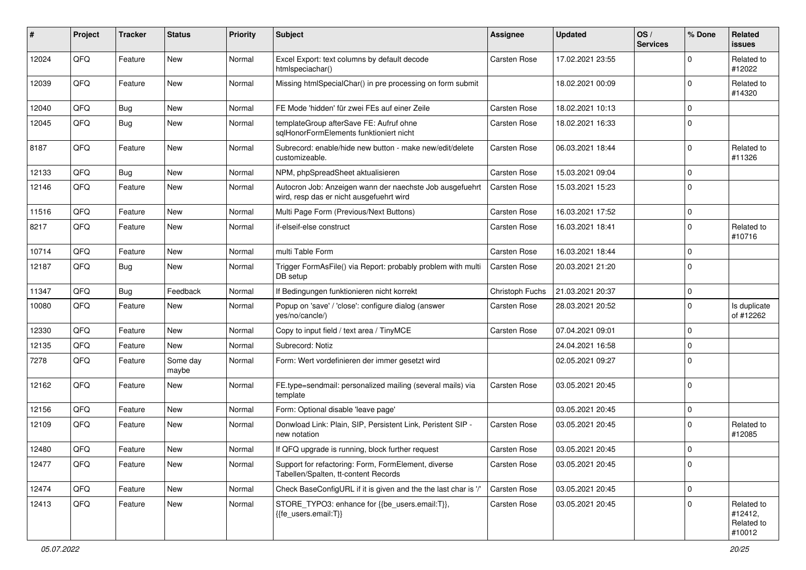| #     | Project | <b>Tracker</b> | <b>Status</b>     | <b>Priority</b> | <b>Subject</b>                                                                                       | <b>Assignee</b>     | <b>Updated</b>   | OS/<br><b>Services</b> | % Done      | Related<br>issues                             |
|-------|---------|----------------|-------------------|-----------------|------------------------------------------------------------------------------------------------------|---------------------|------------------|------------------------|-------------|-----------------------------------------------|
| 12024 | QFQ     | Feature        | New               | Normal          | Excel Export: text columns by default decode<br>htmlspeciachar()                                     | <b>Carsten Rose</b> | 17.02.2021 23:55 |                        | $\Omega$    | Related to<br>#12022                          |
| 12039 | QFQ     | Feature        | New               | Normal          | Missing htmlSpecialChar() in pre processing on form submit                                           |                     | 18.02.2021 00:09 |                        | $\Omega$    | Related to<br>#14320                          |
| 12040 | QFQ     | Bug            | New               | Normal          | FE Mode 'hidden' für zwei FEs auf einer Zeile                                                        | Carsten Rose        | 18.02.2021 10:13 |                        | $\Omega$    |                                               |
| 12045 | QFQ     | Bug            | New               | Normal          | templateGroup afterSave FE: Aufruf ohne<br>sglHonorFormElements funktioniert nicht                   | Carsten Rose        | 18.02.2021 16:33 |                        | $\Omega$    |                                               |
| 8187  | QFQ     | Feature        | New               | Normal          | Subrecord: enable/hide new button - make new/edit/delete<br>customizeable.                           | <b>Carsten Rose</b> | 06.03.2021 18:44 |                        | $\Omega$    | Related to<br>#11326                          |
| 12133 | QFQ     | Bug            | New               | Normal          | NPM, phpSpreadSheet aktualisieren                                                                    | <b>Carsten Rose</b> | 15.03.2021 09:04 |                        | $\Omega$    |                                               |
| 12146 | QFQ     | Feature        | New               | Normal          | Autocron Job: Anzeigen wann der naechste Job ausgefuehrt<br>wird, resp das er nicht ausgefuehrt wird | <b>Carsten Rose</b> | 15.03.2021 15:23 |                        | $\Omega$    |                                               |
| 11516 | QFQ     | Feature        | <b>New</b>        | Normal          | Multi Page Form (Previous/Next Buttons)                                                              | <b>Carsten Rose</b> | 16.03.2021 17:52 |                        | 0           |                                               |
| 8217  | QFQ     | Feature        | New               | Normal          | if-elseif-else construct                                                                             | Carsten Rose        | 16.03.2021 18:41 |                        | $\Omega$    | Related to<br>#10716                          |
| 10714 | QFQ     | Feature        | New               | Normal          | multi Table Form                                                                                     | <b>Carsten Rose</b> | 16.03.2021 18:44 |                        | $\Omega$    |                                               |
| 12187 | QFQ     | Bug            | New               | Normal          | Trigger FormAsFile() via Report: probably problem with multi<br>DB setup                             | <b>Carsten Rose</b> | 20.03.2021 21:20 |                        | $\Omega$    |                                               |
| 11347 | QFQ     | <b>Bug</b>     | Feedback          | Normal          | If Bedingungen funktionieren nicht korrekt                                                           | Christoph Fuchs     | 21.03.2021 20:37 |                        | $\mathbf 0$ |                                               |
| 10080 | QFQ     | Feature        | New               | Normal          | Popup on 'save' / 'close': configure dialog (answer<br>yes/no/cancle/)                               | Carsten Rose        | 28.03.2021 20:52 |                        | $\Omega$    | Is duplicate<br>of #12262                     |
| 12330 | QFQ     | Feature        | New               | Normal          | Copy to input field / text area / TinyMCE                                                            | <b>Carsten Rose</b> | 07.04.2021 09:01 |                        | $\mathbf 0$ |                                               |
| 12135 | QFQ     | Feature        | New               | Normal          | Subrecord: Notiz                                                                                     |                     | 24.04.2021 16:58 |                        | $\Omega$    |                                               |
| 7278  | QFQ     | Feature        | Some day<br>maybe | Normal          | Form: Wert vordefinieren der immer gesetzt wird                                                      |                     | 02.05.2021 09:27 |                        | $\Omega$    |                                               |
| 12162 | QFQ     | Feature        | New               | Normal          | FE.type=sendmail: personalized mailing (several mails) via<br>template                               | Carsten Rose        | 03.05.2021 20:45 |                        | $\Omega$    |                                               |
| 12156 | QFQ     | Feature        | New               | Normal          | Form: Optional disable 'leave page'                                                                  |                     | 03.05.2021 20:45 |                        | $\mathbf 0$ |                                               |
| 12109 | QFQ     | Feature        | New               | Normal          | Donwload Link: Plain, SIP, Persistent Link, Peristent SIP -<br>new notation                          | <b>Carsten Rose</b> | 03.05.2021 20:45 |                        | $\Omega$    | Related to<br>#12085                          |
| 12480 | QFQ     | Feature        | New               | Normal          | If QFQ upgrade is running, block further request                                                     | Carsten Rose        | 03.05.2021 20:45 |                        | $\Omega$    |                                               |
| 12477 | QFQ     | Feature        | New               | Normal          | Support for refactoring: Form, FormElement, diverse<br>Tabellen/Spalten, tt-content Records          | Carsten Rose        | 03.05.2021 20:45 |                        | 0           |                                               |
| 12474 | QFQ     | Feature        | New               | Normal          | Check BaseConfigURL if it is given and the the last char is '/'                                      | Carsten Rose        | 03.05.2021 20:45 |                        | $\mathbf 0$ |                                               |
| 12413 | QFQ     | Feature        | New               | Normal          | STORE_TYPO3: enhance for {{be_users.email:T}},<br>{{fe_users.email:T}}                               | <b>Carsten Rose</b> | 03.05.2021 20:45 |                        | $\Omega$    | Related to<br>#12412,<br>Related to<br>#10012 |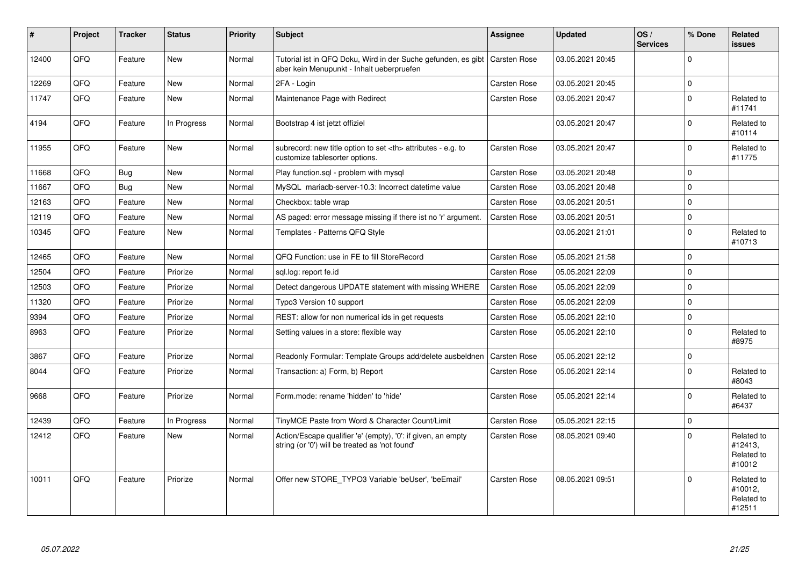| $\#$  | Project | <b>Tracker</b> | <b>Status</b> | <b>Priority</b> | <b>Subject</b>                                                                                                            | <b>Assignee</b>                                        | <b>Updated</b>      | OS/<br><b>Services</b> | % Done      | <b>Related</b><br><b>issues</b>               |                      |
|-------|---------|----------------|---------------|-----------------|---------------------------------------------------------------------------------------------------------------------------|--------------------------------------------------------|---------------------|------------------------|-------------|-----------------------------------------------|----------------------|
| 12400 | QFQ     | Feature        | <b>New</b>    | Normal          | Tutorial ist in QFQ Doku, Wird in der Suche gefunden, es gibt   Carsten Rose<br>aber kein Menupunkt - Inhalt ueberpruefen |                                                        | 03.05.2021 20:45    |                        | $\Omega$    |                                               |                      |
| 12269 | QFQ     | Feature        | New           | Normal          | 2FA - Login                                                                                                               | <b>Carsten Rose</b>                                    | 03.05.2021 20:45    |                        | $\mathbf 0$ |                                               |                      |
| 11747 | QFQ     | Feature        | New           | Normal          | Maintenance Page with Redirect                                                                                            | Carsten Rose                                           | 03.05.2021 20:47    |                        | $\Omega$    | Related to<br>#11741                          |                      |
| 4194  | QFQ     | Feature        | In Progress   | Normal          | Bootstrap 4 ist jetzt offiziel                                                                                            |                                                        | 03.05.2021 20:47    |                        | $\Omega$    | Related to<br>#10114                          |                      |
| 11955 | QFQ     | Feature        | New           | Normal          | subrecord: new title option to set <th> attributes - e.g. to<br/>customize tablesorter options.</th>                      | attributes - e.g. to<br>customize tablesorter options. | <b>Carsten Rose</b> | 03.05.2021 20:47       |             | $\Omega$                                      | Related to<br>#11775 |
| 11668 | QFQ     | <b>Bug</b>     | <b>New</b>    | Normal          | Play function.sql - problem with mysql                                                                                    | Carsten Rose                                           | 03.05.2021 20:48    |                        | $\Omega$    |                                               |                      |
| 11667 | QFQ     | Bug            | New           | Normal          | MySQL mariadb-server-10.3: Incorrect datetime value                                                                       | Carsten Rose                                           | 03.05.2021 20:48    |                        | $\mathbf 0$ |                                               |                      |
| 12163 | QFQ     | Feature        | <b>New</b>    | Normal          | Checkbox: table wrap                                                                                                      | <b>Carsten Rose</b>                                    | 03.05.2021 20:51    |                        | $\Omega$    |                                               |                      |
| 12119 | QFQ     | Feature        | New           | Normal          | AS paged: error message missing if there ist no 'r' argument.                                                             | <b>Carsten Rose</b>                                    | 03.05.2021 20:51    |                        | $\Omega$    |                                               |                      |
| 10345 | QFQ     | Feature        | <b>New</b>    | Normal          | Templates - Patterns QFQ Style                                                                                            |                                                        | 03.05.2021 21:01    |                        | $\Omega$    | Related to<br>#10713                          |                      |
| 12465 | QFQ     | Feature        | New           | Normal          | QFQ Function: use in FE to fill StoreRecord                                                                               | <b>Carsten Rose</b>                                    | 05.05.2021 21:58    |                        | $\Omega$    |                                               |                      |
| 12504 | QFQ     | Feature        | Priorize      | Normal          | sql.log: report fe.id                                                                                                     | <b>Carsten Rose</b>                                    | 05.05.2021 22:09    |                        | $\mathbf 0$ |                                               |                      |
| 12503 | QFQ     | Feature        | Priorize      | Normal          | Detect dangerous UPDATE statement with missing WHERE                                                                      | <b>Carsten Rose</b>                                    | 05.05.2021 22:09    |                        | $\mathbf 0$ |                                               |                      |
| 11320 | QFQ     | Feature        | Priorize      | Normal          | Typo3 Version 10 support                                                                                                  | <b>Carsten Rose</b>                                    | 05.05.2021 22:09    |                        | $\Omega$    |                                               |                      |
| 9394  | QFQ     | Feature        | Priorize      | Normal          | REST: allow for non numerical ids in get requests                                                                         | <b>Carsten Rose</b>                                    | 05.05.2021 22:10    |                        | $\Omega$    |                                               |                      |
| 8963  | QFQ     | Feature        | Priorize      | Normal          | Setting values in a store: flexible way                                                                                   | <b>Carsten Rose</b>                                    | 05.05.2021 22:10    |                        | $\Omega$    | Related to<br>#8975                           |                      |
| 3867  | QFQ     | Feature        | Priorize      | Normal          | Readonly Formular: Template Groups add/delete ausbeldnen                                                                  | <b>Carsten Rose</b>                                    | 05.05.2021 22:12    |                        | $\Omega$    |                                               |                      |
| 8044  | QFQ     | Feature        | Priorize      | Normal          | Transaction: a) Form, b) Report                                                                                           | Carsten Rose                                           | 05.05.2021 22:14    |                        | $\Omega$    | Related to<br>#8043                           |                      |
| 9668  | QFQ     | Feature        | Priorize      | Normal          | Form.mode: rename 'hidden' to 'hide'                                                                                      | <b>Carsten Rose</b>                                    | 05.05.2021 22:14    |                        | $\Omega$    | Related to<br>#6437                           |                      |
| 12439 | QFQ     | Feature        | In Progress   | Normal          | TinyMCE Paste from Word & Character Count/Limit                                                                           | <b>Carsten Rose</b>                                    | 05.05.2021 22:15    |                        | $\Omega$    |                                               |                      |
| 12412 | QFQ     | Feature        | New           | Normal          | Action/Escape qualifier 'e' (empty), '0': if given, an empty<br>string (or '0') will be treated as 'not found'            | Carsten Rose                                           | 08.05.2021 09:40    |                        | $\Omega$    | Related to<br>#12413,<br>Related to<br>#10012 |                      |
| 10011 | QFQ     | Feature        | Priorize      | Normal          | Offer new STORE TYPO3 Variable 'beUser', 'beEmail'                                                                        | Carsten Rose                                           | 08.05.2021 09:51    |                        | $\Omega$    | Related to<br>#10012,<br>Related to<br>#12511 |                      |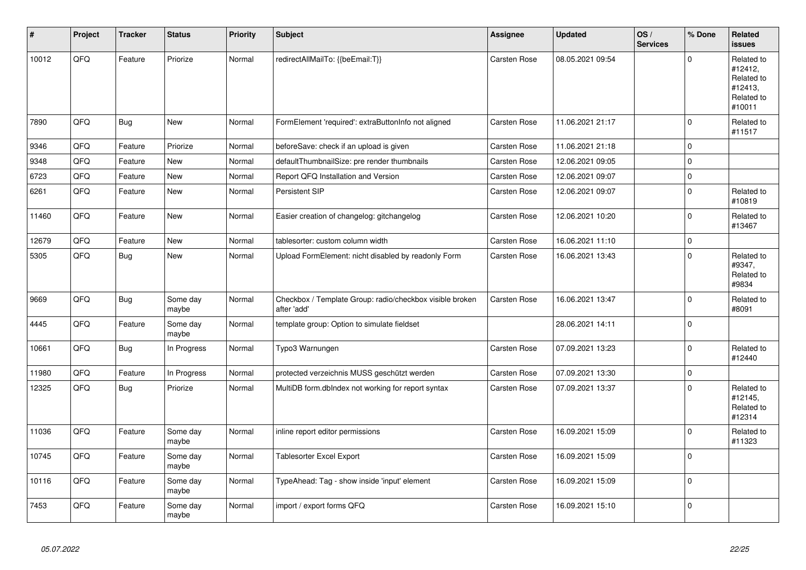| $\pmb{\#}$ | Project | <b>Tracker</b> | <b>Status</b>     | <b>Priority</b> | <b>Subject</b>                                                          | Assignee            | <b>Updated</b>   | OS/<br><b>Services</b> | % Done      | Related<br><b>issues</b>                                               |
|------------|---------|----------------|-------------------|-----------------|-------------------------------------------------------------------------|---------------------|------------------|------------------------|-------------|------------------------------------------------------------------------|
| 10012      | QFQ     | Feature        | Priorize          | Normal          | redirectAllMailTo: {{beEmail:T}}                                        | <b>Carsten Rose</b> | 08.05.2021 09:54 |                        | $\Omega$    | Related to<br>#12412,<br>Related to<br>#12413,<br>Related to<br>#10011 |
| 7890       | QFQ     | <b>Bug</b>     | New               | Normal          | FormElement 'required': extraButtonInfo not aligned                     | Carsten Rose        | 11.06.2021 21:17 |                        | $\Omega$    | Related to<br>#11517                                                   |
| 9346       | QFQ     | Feature        | Priorize          | Normal          | beforeSave: check if an upload is given                                 | <b>Carsten Rose</b> | 11.06.2021 21:18 |                        | $\Omega$    |                                                                        |
| 9348       | QFQ     | Feature        | <b>New</b>        | Normal          | defaultThumbnailSize: pre render thumbnails                             | <b>Carsten Rose</b> | 12.06.2021 09:05 |                        | $\Omega$    |                                                                        |
| 6723       | QFQ     | Feature        | New               | Normal          | Report QFQ Installation and Version                                     | <b>Carsten Rose</b> | 12.06.2021 09:07 |                        | $\mathbf 0$ |                                                                        |
| 6261       | QFQ     | Feature        | New               | Normal          | Persistent SIP                                                          | Carsten Rose        | 12.06.2021 09:07 |                        | $\Omega$    | Related to<br>#10819                                                   |
| 11460      | QFQ     | Feature        | <b>New</b>        | Normal          | Easier creation of changelog: gitchangelog                              | Carsten Rose        | 12.06.2021 10:20 |                        | $\Omega$    | Related to<br>#13467                                                   |
| 12679      | QFQ     | Feature        | New               | Normal          | tablesorter: custom column width                                        | Carsten Rose        | 16.06.2021 11:10 |                        | 0           |                                                                        |
| 5305       | QFQ     | Bug            | New               | Normal          | Upload FormElement: nicht disabled by readonly Form                     | Carsten Rose        | 16.06.2021 13:43 |                        | $\Omega$    | Related to<br>#9347,<br>Related to<br>#9834                            |
| 9669       | QFQ     | <b>Bug</b>     | Some day<br>maybe | Normal          | Checkbox / Template Group: radio/checkbox visible broken<br>after 'add' | Carsten Rose        | 16.06.2021 13:47 |                        | $\Omega$    | Related to<br>#8091                                                    |
| 4445       | QFQ     | Feature        | Some day<br>maybe | Normal          | template group: Option to simulate fieldset                             |                     | 28.06.2021 14:11 |                        | $\Omega$    |                                                                        |
| 10661      | QFQ     | <b>Bug</b>     | In Progress       | Normal          | Typo3 Warnungen                                                         | <b>Carsten Rose</b> | 07.09.2021 13:23 |                        | $\mathbf 0$ | Related to<br>#12440                                                   |
| 11980      | QFQ     | Feature        | In Progress       | Normal          | protected verzeichnis MUSS geschützt werden                             | <b>Carsten Rose</b> | 07.09.2021 13:30 |                        | 0           |                                                                        |
| 12325      | QFQ     | Bug            | Priorize          | Normal          | MultiDB form.dblndex not working for report syntax                      | Carsten Rose        | 07.09.2021 13:37 |                        | $\Omega$    | Related to<br>#12145,<br>Related to<br>#12314                          |
| 11036      | QFQ     | Feature        | Some day<br>maybe | Normal          | inline report editor permissions                                        | <b>Carsten Rose</b> | 16.09.2021 15:09 |                        | $\Omega$    | Related to<br>#11323                                                   |
| 10745      | QFQ     | Feature        | Some day<br>maybe | Normal          | <b>Tablesorter Excel Export</b>                                         | <b>Carsten Rose</b> | 16.09.2021 15:09 |                        | $\Omega$    |                                                                        |
| 10116      | QFQ     | Feature        | Some day<br>maybe | Normal          | TypeAhead: Tag - show inside 'input' element                            | Carsten Rose        | 16.09.2021 15:09 |                        | $\Omega$    |                                                                        |
| 7453       | QFQ     | Feature        | Some day<br>maybe | Normal          | import / export forms QFQ                                               | <b>Carsten Rose</b> | 16.09.2021 15:10 |                        | $\Omega$    |                                                                        |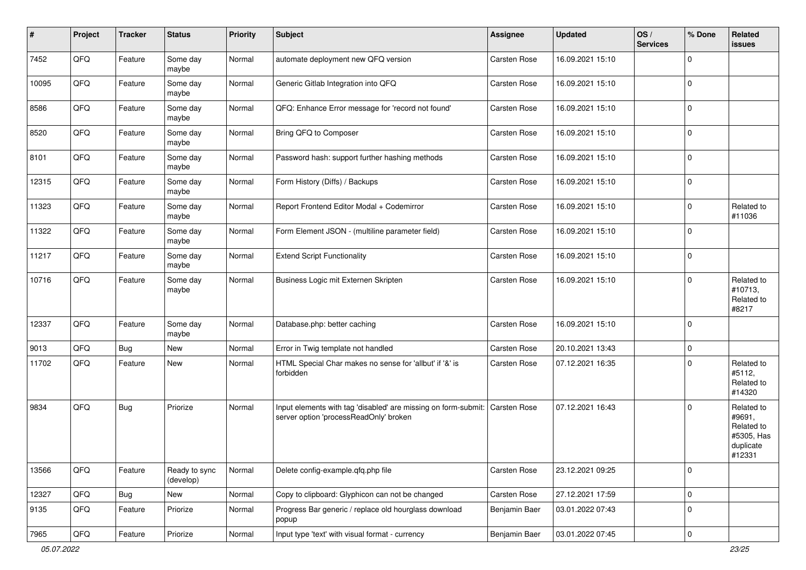| #     | Project        | <b>Tracker</b> | <b>Status</b>              | <b>Priority</b> | <b>Subject</b>                                                                                                        | <b>Assignee</b> | <b>Updated</b>   | OS/<br><b>Services</b> | % Done      | Related<br>issues                                                       |
|-------|----------------|----------------|----------------------------|-----------------|-----------------------------------------------------------------------------------------------------------------------|-----------------|------------------|------------------------|-------------|-------------------------------------------------------------------------|
| 7452  | QFQ            | Feature        | Some day<br>maybe          | Normal          | automate deployment new QFQ version                                                                                   | Carsten Rose    | 16.09.2021 15:10 |                        | 0           |                                                                         |
| 10095 | QFQ            | Feature        | Some day<br>maybe          | Normal          | Generic Gitlab Integration into QFQ                                                                                   | Carsten Rose    | 16.09.2021 15:10 |                        | 0           |                                                                         |
| 8586  | QFQ            | Feature        | Some day<br>maybe          | Normal          | QFQ: Enhance Error message for 'record not found'                                                                     | Carsten Rose    | 16.09.2021 15:10 |                        | 0           |                                                                         |
| 8520  | QFQ            | Feature        | Some day<br>maybe          | Normal          | Bring QFQ to Composer                                                                                                 | Carsten Rose    | 16.09.2021 15:10 |                        | 0           |                                                                         |
| 8101  | QFQ            | Feature        | Some day<br>maybe          | Normal          | Password hash: support further hashing methods                                                                        | Carsten Rose    | 16.09.2021 15:10 |                        | 0           |                                                                         |
| 12315 | QFQ            | Feature        | Some day<br>maybe          | Normal          | Form History (Diffs) / Backups                                                                                        | Carsten Rose    | 16.09.2021 15:10 |                        | $\mathbf 0$ |                                                                         |
| 11323 | QFQ            | Feature        | Some day<br>maybe          | Normal          | Report Frontend Editor Modal + Codemirror                                                                             | Carsten Rose    | 16.09.2021 15:10 |                        | $\mathbf 0$ | Related to<br>#11036                                                    |
| 11322 | QFQ            | Feature        | Some day<br>maybe          | Normal          | Form Element JSON - (multiline parameter field)                                                                       | Carsten Rose    | 16.09.2021 15:10 |                        | 0           |                                                                         |
| 11217 | QFQ            | Feature        | Some day<br>maybe          | Normal          | <b>Extend Script Functionality</b>                                                                                    | Carsten Rose    | 16.09.2021 15:10 |                        | $\mathbf 0$ |                                                                         |
| 10716 | QFQ            | Feature        | Some day<br>maybe          | Normal          | Business Logic mit Externen Skripten                                                                                  | Carsten Rose    | 16.09.2021 15:10 |                        | 0           | Related to<br>#10713,<br>Related to<br>#8217                            |
| 12337 | QFQ            | Feature        | Some day<br>maybe          | Normal          | Database.php: better caching                                                                                          | Carsten Rose    | 16.09.2021 15:10 |                        | 0           |                                                                         |
| 9013  | QFQ            | Bug            | New                        | Normal          | Error in Twig template not handled                                                                                    | Carsten Rose    | 20.10.2021 13:43 |                        | 0           |                                                                         |
| 11702 | QFQ            | Feature        | New                        | Normal          | HTML Special Char makes no sense for 'allbut' if '&' is<br>forbidden                                                  | Carsten Rose    | 07.12.2021 16:35 |                        | 0           | Related to<br>#5112,<br>Related to<br>#14320                            |
| 9834  | QFQ            | <b>Bug</b>     | Priorize                   | Normal          | Input elements with tag 'disabled' are missing on form-submit: Carsten Rose<br>server option 'processReadOnly' broken |                 | 07.12.2021 16:43 |                        | 0           | Related to<br>#9691,<br>Related to<br>#5305, Has<br>duplicate<br>#12331 |
| 13566 | QFQ            | Feature        | Ready to sync<br>(develop) | Normal          | Delete config-example.qfq.php file                                                                                    | Carsten Rose    | 23.12.2021 09:25 |                        | $\mathbf 0$ |                                                                         |
| 12327 | QFQ            | <b>Bug</b>     | New                        | Normal          | Copy to clipboard: Glyphicon can not be changed                                                                       | Carsten Rose    | 27.12.2021 17:59 |                        | 0           |                                                                         |
| 9135  | QFQ            | Feature        | Priorize                   | Normal          | Progress Bar generic / replace old hourglass download<br>popup                                                        | Benjamin Baer   | 03.01.2022 07:43 |                        | 0           |                                                                         |
| 7965  | $\mathsf{QFQ}$ | Feature        | Priorize                   | Normal          | Input type 'text' with visual format - currency                                                                       | Benjamin Baer   | 03.01.2022 07:45 |                        | $\mathbf 0$ |                                                                         |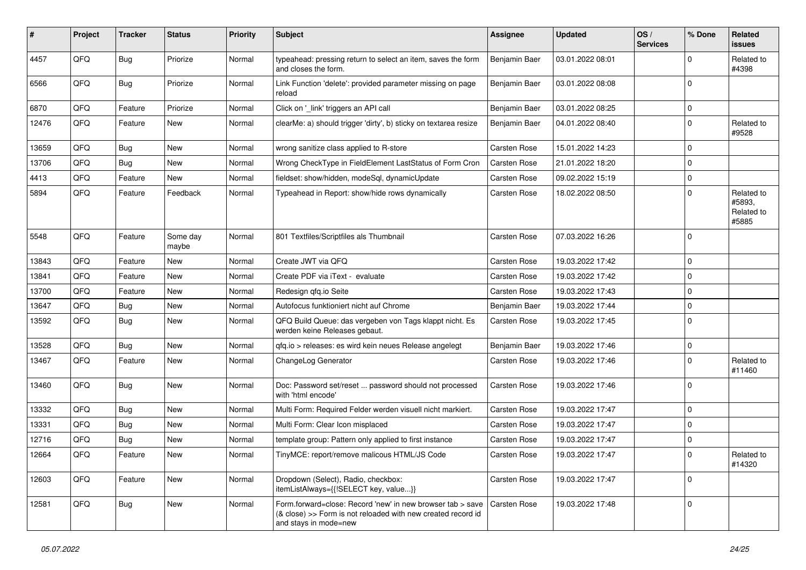| #     | Project | <b>Tracker</b> | <b>Status</b>     | <b>Priority</b> | <b>Subject</b>                                                                                                                                      | <b>Assignee</b>     | <b>Updated</b>   | OS/<br><b>Services</b> | % Done       | Related<br>issues                           |
|-------|---------|----------------|-------------------|-----------------|-----------------------------------------------------------------------------------------------------------------------------------------------------|---------------------|------------------|------------------------|--------------|---------------------------------------------|
| 4457  | QFQ     | <b>Bug</b>     | Priorize          | Normal          | typeahead: pressing return to select an item, saves the form<br>and closes the form.                                                                | Benjamin Baer       | 03.01.2022 08:01 |                        | <sup>0</sup> | Related to<br>#4398                         |
| 6566  | QFQ     | Bug            | Priorize          | Normal          | Link Function 'delete': provided parameter missing on page<br>reload                                                                                | Benjamin Baer       | 03.01.2022 08:08 |                        | $\Omega$     |                                             |
| 6870  | QFQ     | Feature        | Priorize          | Normal          | Click on '_link' triggers an API call                                                                                                               | Benjamin Baer       | 03.01.2022 08:25 |                        | 0            |                                             |
| 12476 | QFQ     | Feature        | New               | Normal          | clearMe: a) should trigger 'dirty', b) sticky on textarea resize                                                                                    | Benjamin Baer       | 04.01.2022 08:40 |                        | $\Omega$     | Related to<br>#9528                         |
| 13659 | QFQ     | Bug            | New               | Normal          | wrong sanitize class applied to R-store                                                                                                             | Carsten Rose        | 15.01.2022 14:23 |                        | $\Omega$     |                                             |
| 13706 | QFQ     | <b>Bug</b>     | New               | Normal          | Wrong CheckType in FieldElement LastStatus of Form Cron                                                                                             | Carsten Rose        | 21.01.2022 18:20 |                        | $\Omega$     |                                             |
| 4413  | QFQ     | Feature        | New               | Normal          | fieldset: show/hidden, modeSql, dynamicUpdate                                                                                                       | Carsten Rose        | 09.02.2022 15:19 |                        | $\mathbf 0$  |                                             |
| 5894  | QFQ     | Feature        | Feedback          | Normal          | Typeahead in Report: show/hide rows dynamically                                                                                                     | Carsten Rose        | 18.02.2022 08:50 |                        | $\Omega$     | Related to<br>#5893,<br>Related to<br>#5885 |
| 5548  | QFQ     | Feature        | Some day<br>maybe | Normal          | 801 Textfiles/Scriptfiles als Thumbnail                                                                                                             | Carsten Rose        | 07.03.2022 16:26 |                        | $\Omega$     |                                             |
| 13843 | QFQ     | Feature        | New               | Normal          | Create JWT via QFQ                                                                                                                                  | Carsten Rose        | 19.03.2022 17:42 |                        | $\mathbf 0$  |                                             |
| 13841 | QFQ     | Feature        | New               | Normal          | Create PDF via iText - evaluate                                                                                                                     | <b>Carsten Rose</b> | 19.03.2022 17:42 |                        | $\mathbf 0$  |                                             |
| 13700 | QFQ     | Feature        | New               | Normal          | Redesign qfq.io Seite                                                                                                                               | <b>Carsten Rose</b> | 19.03.2022 17:43 |                        | $\Omega$     |                                             |
| 13647 | QFQ     | <b>Bug</b>     | New               | Normal          | Autofocus funktioniert nicht auf Chrome                                                                                                             | Benjamin Baer       | 19.03.2022 17:44 |                        | $\Omega$     |                                             |
| 13592 | QFQ     | <b>Bug</b>     | New               | Normal          | QFQ Build Queue: das vergeben von Tags klappt nicht. Es<br>werden keine Releases gebaut.                                                            | Carsten Rose        | 19.03.2022 17:45 |                        | $\Omega$     |                                             |
| 13528 | QFQ     | <b>Bug</b>     | New               | Normal          | gfg.io > releases: es wird kein neues Release angelegt                                                                                              | Benjamin Baer       | 19.03.2022 17:46 |                        | $\mathbf 0$  |                                             |
| 13467 | QFQ     | Feature        | New               | Normal          | ChangeLog Generator                                                                                                                                 | Carsten Rose        | 19.03.2022 17:46 |                        | $\Omega$     | Related to<br>#11460                        |
| 13460 | QFQ     | Bug            | New               | Normal          | Doc: Password set/reset  password should not processed<br>with 'html encode'                                                                        | Carsten Rose        | 19.03.2022 17:46 |                        | $\Omega$     |                                             |
| 13332 | QFQ     | <b>Bug</b>     | New               | Normal          | Multi Form: Required Felder werden visuell nicht markiert.                                                                                          | Carsten Rose        | 19.03.2022 17:47 |                        | $\mathbf 0$  |                                             |
| 13331 | QFQ     | Bug            | New               | Normal          | Multi Form: Clear Icon misplaced                                                                                                                    | Carsten Rose        | 19.03.2022 17:47 |                        | $\Omega$     |                                             |
| 12716 | QFQ     | <b>Bug</b>     | New               | Normal          | template group: Pattern only applied to first instance                                                                                              | Carsten Rose        | 19.03.2022 17:47 |                        | $\Omega$     |                                             |
| 12664 | QFG     | Feature        | New               | Normal          | TinyMCE: report/remove malicous HTML/JS Code                                                                                                        | Carsten Rose        | 19.03.2022 17:47 |                        | l o          | Related to<br>#14320                        |
| 12603 | QFQ     | Feature        | New               | Normal          | Dropdown (Select), Radio, checkbox:<br>itemListAlways={{!SELECT key, value}}                                                                        | Carsten Rose        | 19.03.2022 17:47 |                        | $\mathbf 0$  |                                             |
| 12581 | QFQ     | <b>Bug</b>     | New               | Normal          | Form.forward=close: Record 'new' in new browser tab > save<br>(& close) >> Form is not reloaded with new created record id<br>and stays in mode=new | <b>Carsten Rose</b> | 19.03.2022 17:48 |                        | $\mathbf 0$  |                                             |